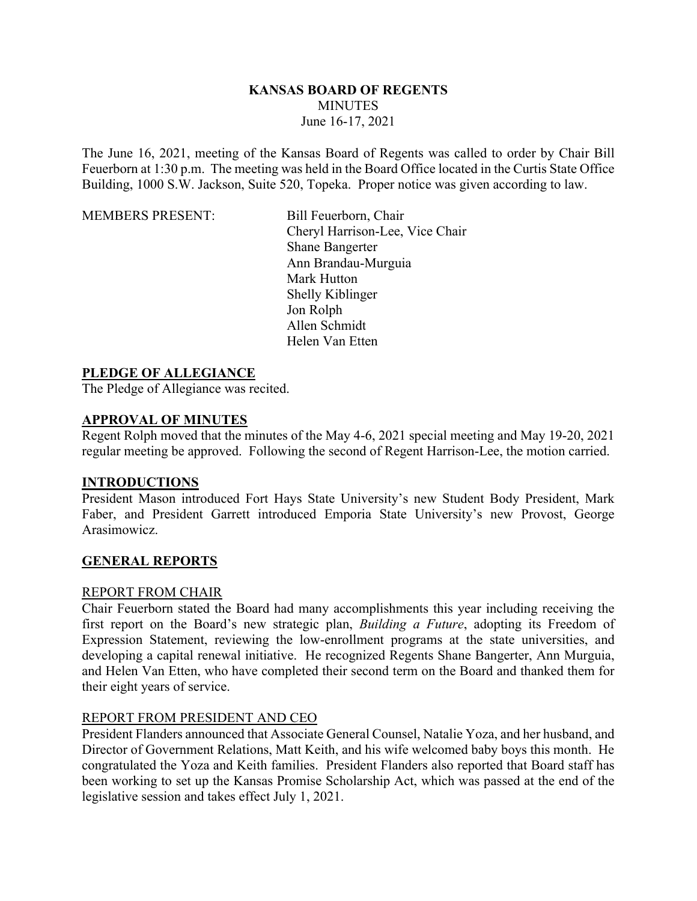### **KANSAS BOARD OF REGENTS MINUTES** June 16-17, 2021

The June 16, 2021, meeting of the Kansas Board of Regents was called to order by Chair Bill Feuerborn at 1:30 p.m. The meeting was held in the Board Office located in the Curtis State Office Building, 1000 S.W. Jackson, Suite 520, Topeka. Proper notice was given according to law.

MEMBERS PRESENT: Bill Feuerborn, Chair

Cheryl Harrison-Lee, Vice Chair Shane Bangerter Ann Brandau-Murguia Mark Hutton Shelly Kiblinger Jon Rolph Allen Schmidt Helen Van Etten

### **PLEDGE OF ALLEGIANCE**

The Pledge of Allegiance was recited.

### **APPROVAL OF MINUTES**

Regent Rolph moved that the minutes of the May 4-6, 2021 special meeting and May 19-20, 2021 regular meeting be approved. Following the second of Regent Harrison-Lee, the motion carried.

### **INTRODUCTIONS**

President Mason introduced Fort Hays State University's new Student Body President, Mark Faber, and President Garrett introduced Emporia State University's new Provost, George Arasimowicz.

### **GENERAL REPORTS**

### REPORT FROM CHAIR

Chair Feuerborn stated the Board had many accomplishments this year including receiving the first report on the Board's new strategic plan, *Building a Future*, adopting its Freedom of Expression Statement, reviewing the low-enrollment programs at the state universities, and developing a capital renewal initiative. He recognized Regents Shane Bangerter, Ann Murguia, and Helen Van Etten, who have completed their second term on the Board and thanked them for their eight years of service.

### REPORT FROM PRESIDENT AND CEO

President Flanders announced that Associate General Counsel, Natalie Yoza, and her husband, and Director of Government Relations, Matt Keith, and his wife welcomed baby boys this month. He congratulated the Yoza and Keith families. President Flanders also reported that Board staff has been working to set up the Kansas Promise Scholarship Act, which was passed at the end of the legislative session and takes effect July 1, 2021.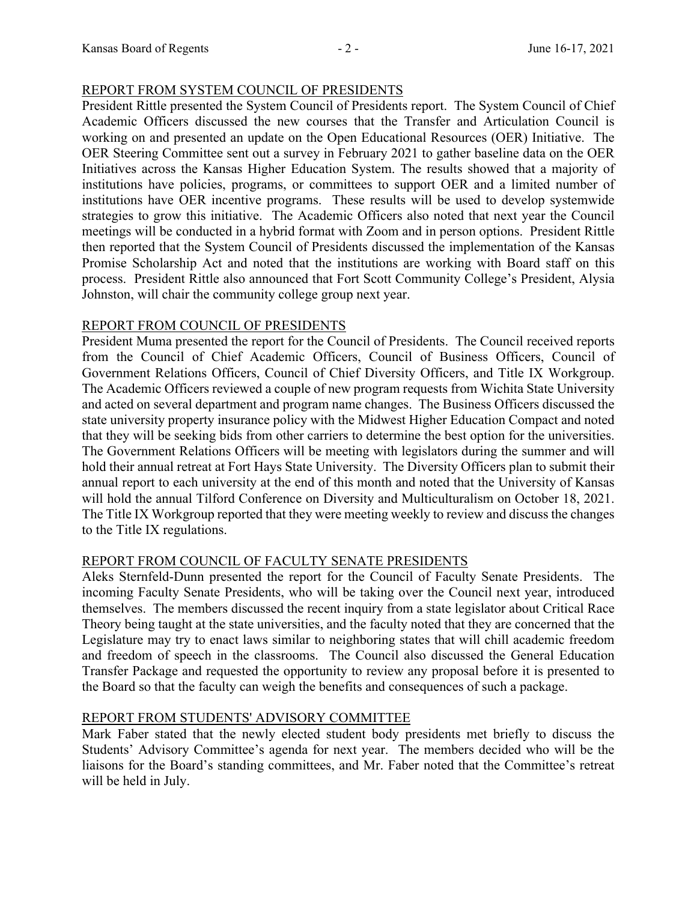### REPORT FROM SYSTEM COUNCIL OF PRESIDENTS

President Rittle presented the System Council of Presidents report. The System Council of Chief Academic Officers discussed the new courses that the Transfer and Articulation Council is working on and presented an update on the Open Educational Resources (OER) Initiative. The OER Steering Committee sent out a survey in February 2021 to gather baseline data on the OER Initiatives across the Kansas Higher Education System. The results showed that a majority of institutions have policies, programs, or committees to support OER and a limited number of institutions have OER incentive programs. These results will be used to develop systemwide strategies to grow this initiative. The Academic Officers also noted that next year the Council meetings will be conducted in a hybrid format with Zoom and in person options. President Rittle then reported that the System Council of Presidents discussed the implementation of the Kansas Promise Scholarship Act and noted that the institutions are working with Board staff on this process. President Rittle also announced that Fort Scott Community College's President, Alysia Johnston, will chair the community college group next year.

### REPORT FROM COUNCIL OF PRESIDENTS

President Muma presented the report for the Council of Presidents. The Council received reports from the Council of Chief Academic Officers, Council of Business Officers, Council of Government Relations Officers, Council of Chief Diversity Officers, and Title IX Workgroup. The Academic Officers reviewed a couple of new program requests from Wichita State University and acted on several department and program name changes. The Business Officers discussed the state university property insurance policy with the Midwest Higher Education Compact and noted that they will be seeking bids from other carriers to determine the best option for the universities. The Government Relations Officers will be meeting with legislators during the summer and will hold their annual retreat at Fort Hays State University. The Diversity Officers plan to submit their annual report to each university at the end of this month and noted that the University of Kansas will hold the annual Tilford Conference on Diversity and Multiculturalism on October 18, 2021. The Title IX Workgroup reported that they were meeting weekly to review and discuss the changes to the Title IX regulations.

# REPORT FROM COUNCIL OF FACULTY SENATE PRESIDENTS

Aleks Sternfeld-Dunn presented the report for the Council of Faculty Senate Presidents. The incoming Faculty Senate Presidents, who will be taking over the Council next year, introduced themselves. The members discussed the recent inquiry from a state legislator about Critical Race Theory being taught at the state universities, and the faculty noted that they are concerned that the Legislature may try to enact laws similar to neighboring states that will chill academic freedom and freedom of speech in the classrooms. The Council also discussed the General Education Transfer Package and requested the opportunity to review any proposal before it is presented to the Board so that the faculty can weigh the benefits and consequences of such a package.

# REPORT FROM STUDENTS' ADVISORY COMMITTEE

Mark Faber stated that the newly elected student body presidents met briefly to discuss the Students' Advisory Committee's agenda for next year. The members decided who will be the liaisons for the Board's standing committees, and Mr. Faber noted that the Committee's retreat will be held in July.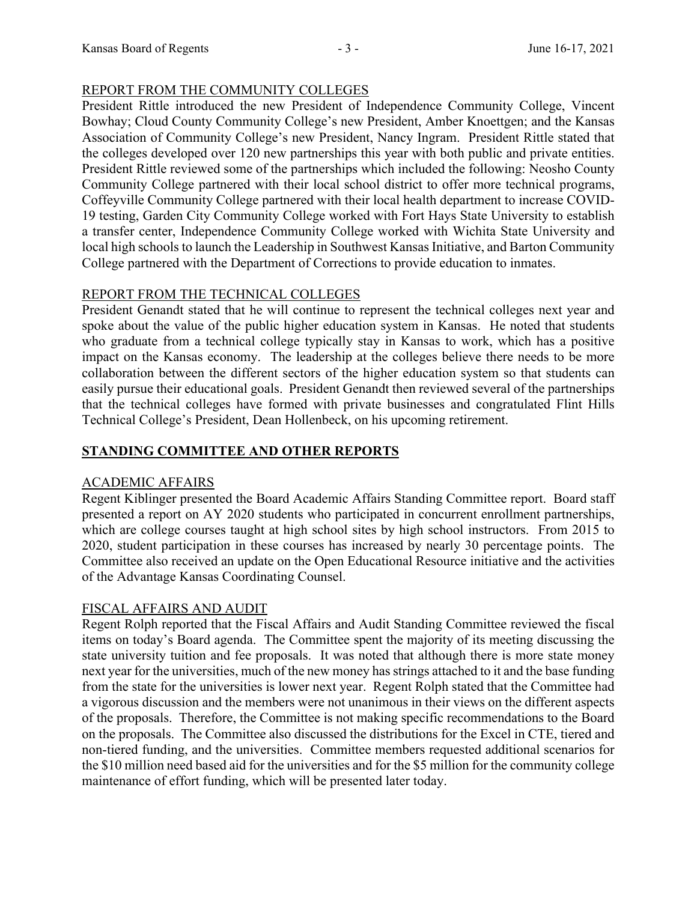### REPORT FROM THE COMMUNITY COLLEGES

President Rittle introduced the new President of Independence Community College, Vincent Bowhay; Cloud County Community College's new President, Amber Knoettgen; and the Kansas Association of Community College's new President, Nancy Ingram. President Rittle stated that the colleges developed over 120 new partnerships this year with both public and private entities. President Rittle reviewed some of the partnerships which included the following: Neosho County Community College partnered with their local school district to offer more technical programs, Coffeyville Community College partnered with their local health department to increase COVID-19 testing, Garden City Community College worked with Fort Hays State University to establish a transfer center, Independence Community College worked with Wichita State University and local high schools to launch the Leadership in Southwest Kansas Initiative, and Barton Community College partnered with the Department of Corrections to provide education to inmates.

# REPORT FROM THE TECHNICAL COLLEGES

President Genandt stated that he will continue to represent the technical colleges next year and spoke about the value of the public higher education system in Kansas. He noted that students who graduate from a technical college typically stay in Kansas to work, which has a positive impact on the Kansas economy. The leadership at the colleges believe there needs to be more collaboration between the different sectors of the higher education system so that students can easily pursue their educational goals. President Genandt then reviewed several of the partnerships that the technical colleges have formed with private businesses and congratulated Flint Hills Technical College's President, Dean Hollenbeck, on his upcoming retirement.

# **STANDING COMMITTEE AND OTHER REPORTS**

# ACADEMIC AFFAIRS

Regent Kiblinger presented the Board Academic Affairs Standing Committee report. Board staff presented a report on AY 2020 students who participated in concurrent enrollment partnerships, which are college courses taught at high school sites by high school instructors. From 2015 to 2020, student participation in these courses has increased by nearly 30 percentage points. The Committee also received an update on the Open Educational Resource initiative and the activities of the Advantage Kansas Coordinating Counsel.

# FISCAL AFFAIRS AND AUDIT

Regent Rolph reported that the Fiscal Affairs and Audit Standing Committee reviewed the fiscal items on today's Board agenda. The Committee spent the majority of its meeting discussing the state university tuition and fee proposals. It was noted that although there is more state money next year for the universities, much of the new money has strings attached to it and the base funding from the state for the universities is lower next year. Regent Rolph stated that the Committee had a vigorous discussion and the members were not unanimous in their views on the different aspects of the proposals. Therefore, the Committee is not making specific recommendations to the Board on the proposals. The Committee also discussed the distributions for the Excel in CTE, tiered and non-tiered funding, and the universities. Committee members requested additional scenarios for the \$10 million need based aid for the universities and for the \$5 million for the community college maintenance of effort funding, which will be presented later today.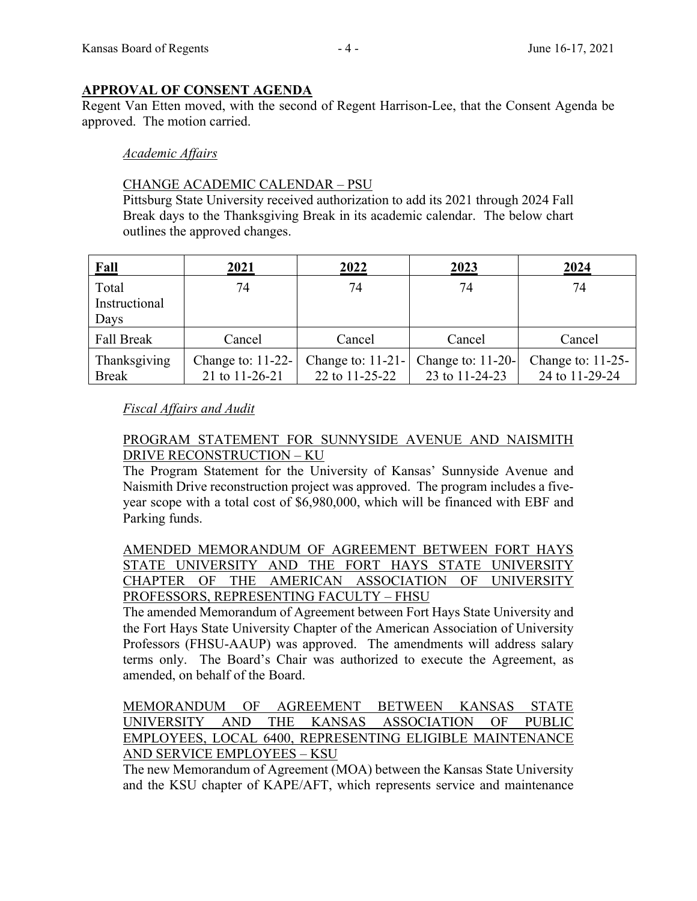### **APPROVAL OF CONSENT AGENDA**

Regent Van Etten moved, with the second of Regent Harrison-Lee, that the Consent Agenda be approved. The motion carried.

### *Academic Affairs*

### CHANGE ACADEMIC CALENDAR – PSU

Pittsburg State University received authorization to add its 2021 through 2024 Fall Break days to the Thanksgiving Break in its academic calendar. The below chart outlines the approved changes.

| Fall          | 2021                | 2022                | 2023                 | 2024                 |
|---------------|---------------------|---------------------|----------------------|----------------------|
| Total         | 74                  | 74                  | 74                   | 74                   |
| Instructional |                     |                     |                      |                      |
| Days          |                     |                     |                      |                      |
| Fall Break    | Cancel              | Cancel              | Cancel               | Cancel               |
| Thanksgiving  | Change to: $11-22-$ | Change to: $11-21-$ | Change to: $11-20$ - | Change to: $11-25$ - |
| <b>Break</b>  | 21 to 11-26-21      | 22 to 11-25-22      | 23 to 11-24-23       | 24 to 11-29-24       |

### *Fiscal Affairs and Audit*

### PROGRAM STATEMENT FOR SUNNYSIDE AVENUE AND NAISMITH DRIVE RECONSTRUCTION – KU

The Program Statement for the University of Kansas' Sunnyside Avenue and Naismith Drive reconstruction project was approved. The program includes a fiveyear scope with a total cost of \$6,980,000, which will be financed with EBF and Parking funds.

AMENDED MEMORANDUM OF AGREEMENT BETWEEN FORT HAYS STATE UNIVERSITY AND THE FORT HAYS STATE UNIVERSITY CHAPTER OF THE AMERICAN ASSOCIATION OF UNIVERSITY PROFESSORS, REPRESENTING FACULTY – FHSU

The amended Memorandum of Agreement between Fort Hays State University and the Fort Hays State University Chapter of the American Association of University Professors (FHSU-AAUP) was approved. The amendments will address salary terms only. The Board's Chair was authorized to execute the Agreement, as amended, on behalf of the Board.

MEMORANDUM OF AGREEMENT BETWEEN KANSAS STATE UNIVERSITY AND THE KANSAS ASSOCIATION OF PUBLIC EMPLOYEES, LOCAL 6400, REPRESENTING ELIGIBLE MAINTENANCE AND SERVICE EMPLOYEES – KSU

The new Memorandum of Agreement (MOA) between the Kansas State University and the KSU chapter of KAPE/AFT, which represents service and maintenance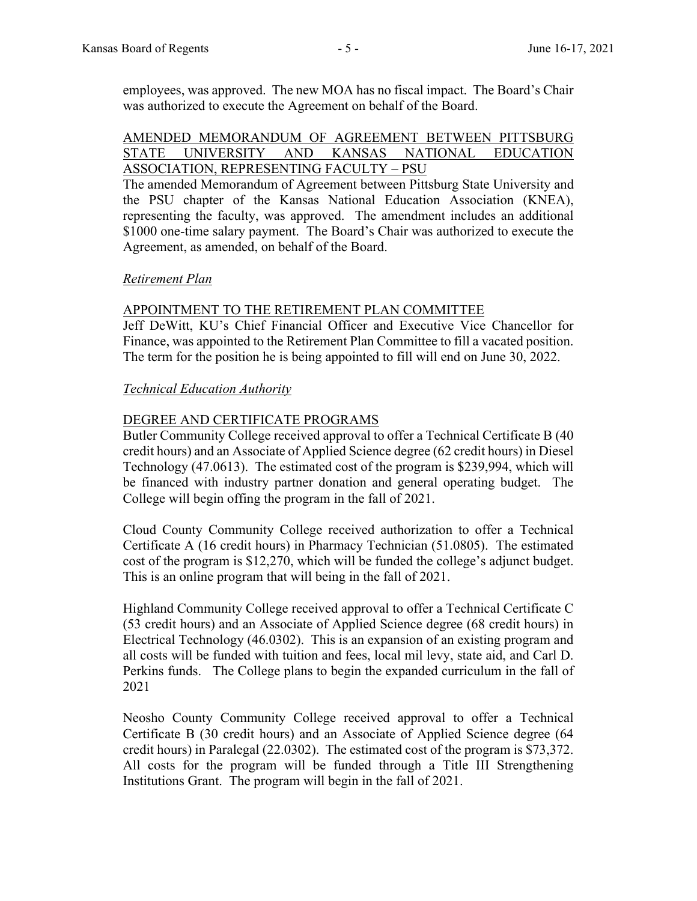employees, was approved. The new MOA has no fiscal impact. The Board's Chair was authorized to execute the Agreement on behalf of the Board.

### AMENDED MEMORANDUM OF AGREEMENT BETWEEN PITTSBURG STATE UNIVERSITY AND KANSAS NATIONAL EDUCATION ASSOCIATION, REPRESENTING FACULTY – PSU

The amended Memorandum of Agreement between Pittsburg State University and the PSU chapter of the Kansas National Education Association (KNEA), representing the faculty, was approved. The amendment includes an additional \$1000 one-time salary payment. The Board's Chair was authorized to execute the Agreement, as amended, on behalf of the Board.

### *Retirement Plan*

### APPOINTMENT TO THE RETIREMENT PLAN COMMITTEE

Jeff DeWitt, KU's Chief Financial Officer and Executive Vice Chancellor for Finance, was appointed to the Retirement Plan Committee to fill a vacated position. The term for the position he is being appointed to fill will end on June 30, 2022.

### *Technical Education Authority*

### DEGREE AND CERTIFICATE PROGRAMS

Butler Community College received approval to offer a Technical Certificate B (40 credit hours) and an Associate of Applied Science degree (62 credit hours) in Diesel Technology (47.0613). The estimated cost of the program is \$239,994, which will be financed with industry partner donation and general operating budget. The College will begin offing the program in the fall of 2021.

Cloud County Community College received authorization to offer a Technical Certificate A (16 credit hours) in Pharmacy Technician (51.0805). The estimated cost of the program is \$12,270, which will be funded the college's adjunct budget. This is an online program that will being in the fall of 2021.

Highland Community College received approval to offer a Technical Certificate C (53 credit hours) and an Associate of Applied Science degree (68 credit hours) in Electrical Technology (46.0302). This is an expansion of an existing program and all costs will be funded with tuition and fees, local mil levy, state aid, and Carl D. Perkins funds. The College plans to begin the expanded curriculum in the fall of 2021

Neosho County Community College received approval to offer a Technical Certificate B (30 credit hours) and an Associate of Applied Science degree (64 credit hours) in Paralegal (22.0302). The estimated cost of the program is \$73,372. All costs for the program will be funded through a Title III Strengthening Institutions Grant. The program will begin in the fall of 2021.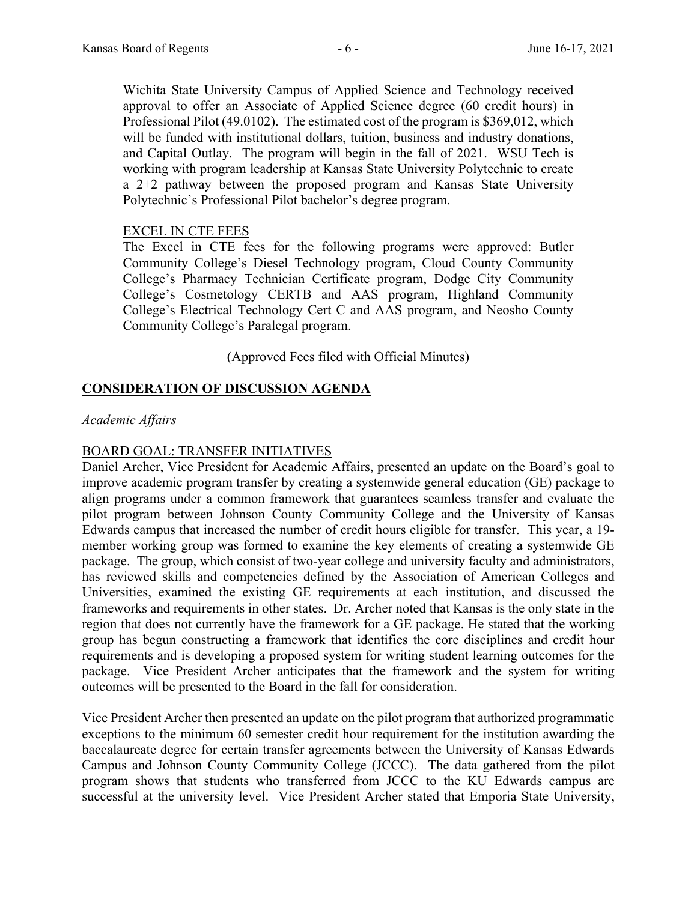Wichita State University Campus of Applied Science and Technology received approval to offer an Associate of Applied Science degree (60 credit hours) in Professional Pilot (49.0102). The estimated cost of the program is \$369,012, which will be funded with institutional dollars, tuition, business and industry donations, and Capital Outlay. The program will begin in the fall of 2021. WSU Tech is working with program leadership at Kansas State University Polytechnic to create a 2+2 pathway between the proposed program and Kansas State University Polytechnic's Professional Pilot bachelor's degree program.

### EXCEL IN CTE FEES

The Excel in CTE fees for the following programs were approved: Butler Community College's Diesel Technology program, Cloud County Community College's Pharmacy Technician Certificate program, Dodge City Community College's Cosmetology CERTB and AAS program, Highland Community College's Electrical Technology Cert C and AAS program, and Neosho County Community College's Paralegal program.

(Approved Fees filed with Official Minutes)

# **CONSIDERATION OF DISCUSSION AGENDA**

### *Academic Affairs*

### BOARD GOAL: TRANSFER INITIATIVES

Daniel Archer, Vice President for Academic Affairs, presented an update on the Board's goal to improve academic program transfer by creating a systemwide general education (GE) package to align programs under a common framework that guarantees seamless transfer and evaluate the pilot program between Johnson County Community College and the University of Kansas Edwards campus that increased the number of credit hours eligible for transfer. This year, a 19 member working group was formed to examine the key elements of creating a systemwide GE package. The group, which consist of two-year college and university faculty and administrators, has reviewed skills and competencies defined by the Association of American Colleges and Universities, examined the existing GE requirements at each institution, and discussed the frameworks and requirements in other states. Dr. Archer noted that Kansas is the only state in the region that does not currently have the framework for a GE package. He stated that the working group has begun constructing a framework that identifies the core disciplines and credit hour requirements and is developing a proposed system for writing student learning outcomes for the package. Vice President Archer anticipates that the framework and the system for writing outcomes will be presented to the Board in the fall for consideration.

Vice President Archer then presented an update on the pilot program that authorized programmatic exceptions to the minimum 60 semester credit hour requirement for the institution awarding the baccalaureate degree for certain transfer agreements between the University of Kansas Edwards Campus and Johnson County Community College (JCCC). The data gathered from the pilot program shows that students who transferred from JCCC to the KU Edwards campus are successful at the university level. Vice President Archer stated that Emporia State University,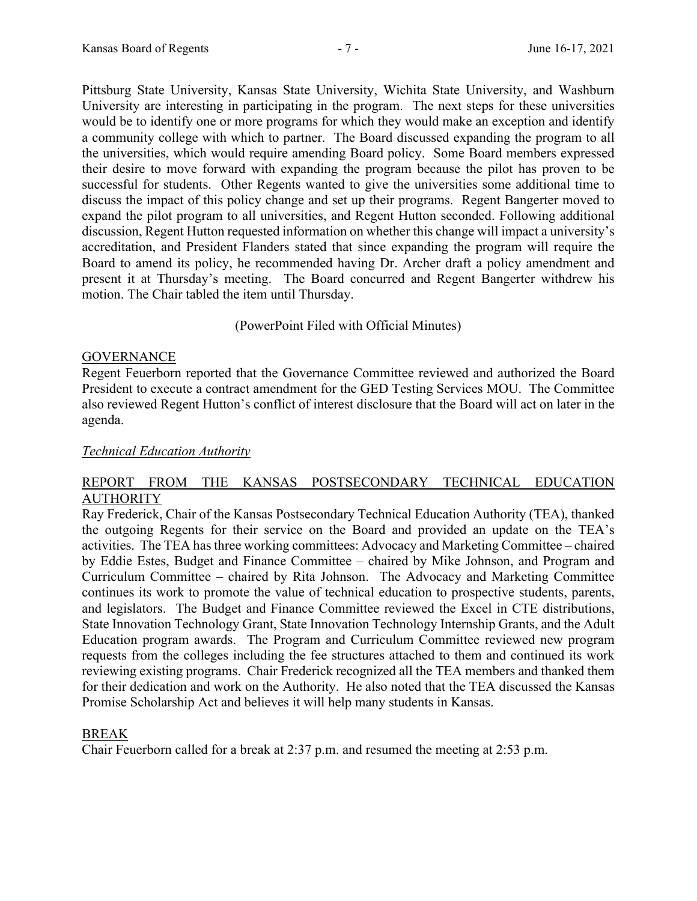Pittsburg State University, Kansas State University, Wichita State University, and Washburn University are interesting in participating in the program. The next steps for these universities would be to identify one or more programs for which they would make an exception and identify a community college with which to partner. The Board discussed expanding the program to all the universities, which would require amending Board policy. Some Board members expressed their desire to move forward with expanding the program because the pilot has proven to be successful for students. Other Regents wanted to give the universities some additional time to discuss the impact of this policy change and set up their programs. Regent Bangerter moved to expand the pilot program to all universities, and Regent Hutton seconded. Following additional discussion, Regent Hutton requested information on whether this change will impact a university's accreditation, and President Flanders stated that since expanding the program will require the Board to amend its policy, he recommended having Dr. Archer draft a policy amendment and present it at Thursday's meeting. The Board concurred and Regent Bangerter withdrew his motion. The Chair tabled the item until Thursday.

(PowerPoint Filed with Official Minutes)

# **GOVERNANCE**

Regent Feuerborn reported that the Governance Committee reviewed and authorized the Board President to execute a contract amendment for the GED Testing Services MOU. The Committee also reviewed Regent Hutton's conflict of interest disclosure that the Board will act on later in the agenda.

# *Technical Education Authority*

# REPORT FROM THE KANSAS POSTSECONDARY TECHNICAL EDUCATION **AUTHORITY**

Ray Frederick, Chair of the Kansas Postsecondary Technical Education Authority (TEA), thanked the outgoing Regents for their service on the Board and provided an update on the TEA's activities. The TEA has three working committees: Advocacy and Marketing Committee – chaired by Eddie Estes, Budget and Finance Committee – chaired by Mike Johnson, and Program and Curriculum Committee – chaired by Rita Johnson. The Advocacy and Marketing Committee continues its work to promote the value of technical education to prospective students, parents, and legislators. The Budget and Finance Committee reviewed the Excel in CTE distributions, State Innovation Technology Grant, State Innovation Technology Internship Grants, and the Adult Education program awards. The Program and Curriculum Committee reviewed new program requests from the colleges including the fee structures attached to them and continued its work reviewing existing programs. Chair Frederick recognized all the TEA members and thanked them for their dedication and work on the Authority. He also noted that the TEA discussed the Kansas Promise Scholarship Act and believes it will help many students in Kansas.

# BREAK

Chair Feuerborn called for a break at 2:37 p.m. and resumed the meeting at 2:53 p.m.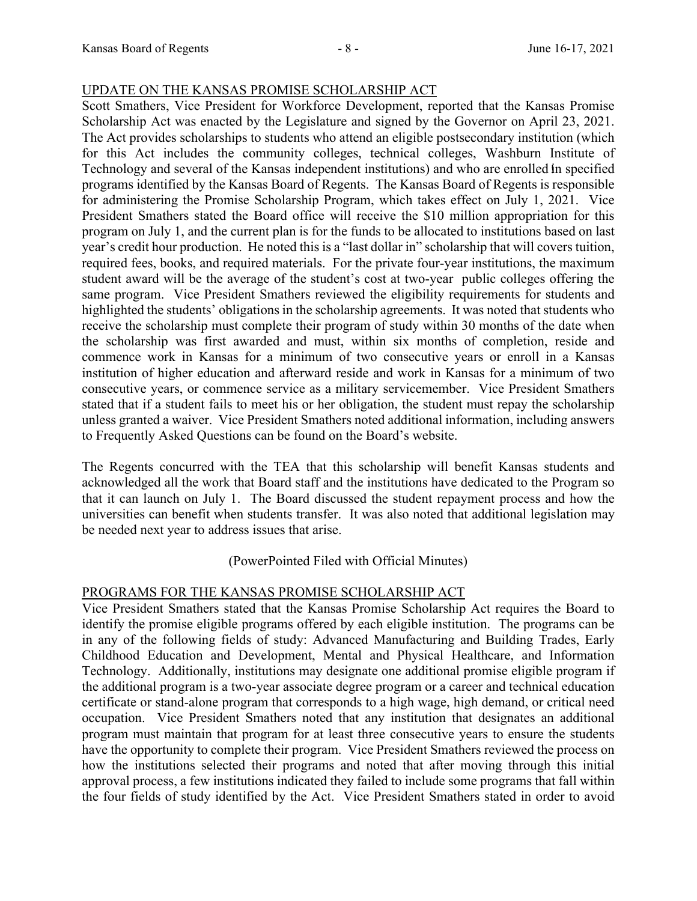### UPDATE ON THE KANSAS PROMISE SCHOLARSHIP ACT

Scott Smathers, Vice President for Workforce Development, reported that the Kansas Promise Scholarship Act was enacted by the Legislature and signed by the Governor on April 23, 2021. The Act provides scholarships to students who attend an eligible postsecondary institution (which for this Act includes the community colleges, technical colleges, Washburn Institute of Technology and several of the Kansas independent institutions) and who are enrolled in specified programs identified by the Kansas Board of Regents. The Kansas Board of Regents is responsible for administering the Promise Scholarship Program, which takes effect on July 1, 2021. Vice President Smathers stated the Board office will receive the \$10 million appropriation for this program on July 1, and the current plan is for the funds to be allocated to institutions based on last year's credit hour production. He noted this is a "last dollar in" scholarship that will covers tuition, required fees, books, and required materials. For the private four-year institutions, the maximum student award will be the average of the student's cost at two-year public colleges offering the same program. Vice President Smathers reviewed the eligibility requirements for students and highlighted the students' obligations in the scholarship agreements. It was noted that students who receive the scholarship must complete their program of study within 30 months of the date when the scholarship was first awarded and must, within six months of completion, reside and commence work in Kansas for a minimum of two consecutive years or enroll in a Kansas institution of higher education and afterward reside and work in Kansas for a minimum of two consecutive years, or commence service as a military servicemember. Vice President Smathers stated that if a student fails to meet his or her obligation, the student must repay the scholarship unless granted a waiver. Vice President Smathers noted additional information, including answers to Frequently Asked Questions can be found on the Board's website.

The Regents concurred with the TEA that this scholarship will benefit Kansas students and acknowledged all the work that Board staff and the institutions have dedicated to the Program so that it can launch on July 1. The Board discussed the student repayment process and how the universities can benefit when students transfer. It was also noted that additional legislation may be needed next year to address issues that arise.

# (PowerPointed Filed with Official Minutes)

# PROGRAMS FOR THE KANSAS PROMISE SCHOLARSHIP ACT

Vice President Smathers stated that the Kansas Promise Scholarship Act requires the Board to identify the promise eligible programs offered by each eligible institution. The programs can be in any of the following fields of study: Advanced Manufacturing and Building Trades, Early Childhood Education and Development, Mental and Physical Healthcare, and Information Technology. Additionally, institutions may designate one additional promise eligible program if the additional program is a two-year associate degree program or a career and technical education certificate or stand-alone program that corresponds to a high wage, high demand, or critical need occupation. Vice President Smathers noted that any institution that designates an additional program must maintain that program for at least three consecutive years to ensure the students have the opportunity to complete their program. Vice President Smathers reviewed the process on how the institutions selected their programs and noted that after moving through this initial approval process, a few institutions indicated they failed to include some programs that fall within the four fields of study identified by the Act. Vice President Smathers stated in order to avoid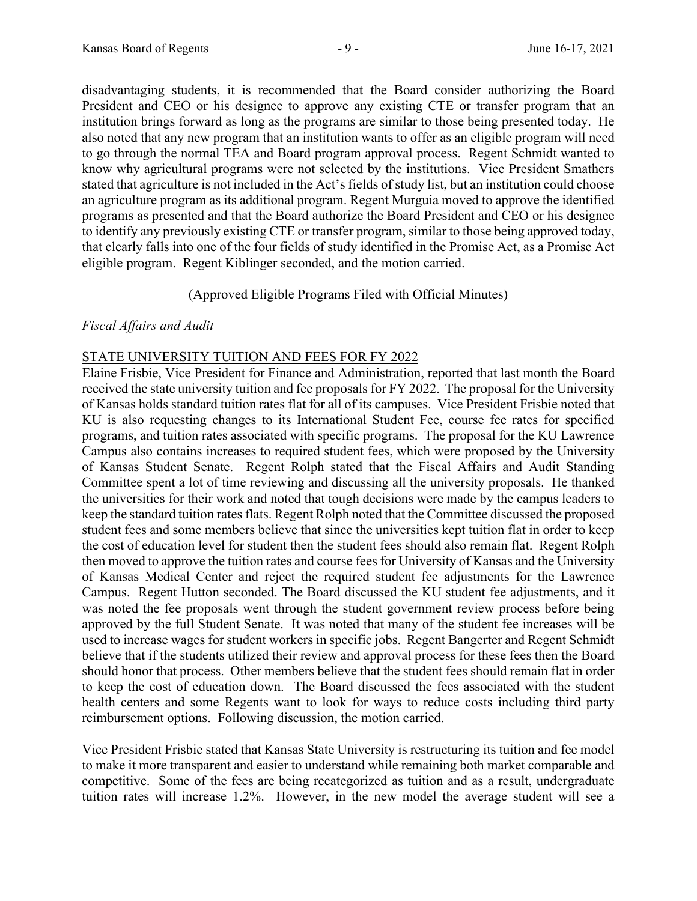disadvantaging students, it is recommended that the Board consider authorizing the Board President and CEO or his designee to approve any existing CTE or transfer program that an institution brings forward as long as the programs are similar to those being presented today. He also noted that any new program that an institution wants to offer as an eligible program will need to go through the normal TEA and Board program approval process. Regent Schmidt wanted to know why agricultural programs were not selected by the institutions. Vice President Smathers stated that agriculture is not included in the Act's fields of study list, but an institution could choose an agriculture program as its additional program. Regent Murguia moved to approve the identified programs as presented and that the Board authorize the Board President and CEO or his designee to identify any previously existing CTE or transfer program, similar to those being approved today, that clearly falls into one of the four fields of study identified in the Promise Act, as a Promise Act eligible program. Regent Kiblinger seconded, and the motion carried.

(Approved Eligible Programs Filed with Official Minutes)

# *Fiscal Affairs and Audit*

# STATE UNIVERSITY TUITION AND FEES FOR FY 2022

Elaine Frisbie, Vice President for Finance and Administration, reported that last month the Board received the state university tuition and fee proposals for FY 2022. The proposal for the University of Kansas holds standard tuition rates flat for all of its campuses. Vice President Frisbie noted that KU is also requesting changes to its International Student Fee, course fee rates for specified programs, and tuition rates associated with specific programs. The proposal for the KU Lawrence Campus also contains increases to required student fees, which were proposed by the University of Kansas Student Senate. Regent Rolph stated that the Fiscal Affairs and Audit Standing Committee spent a lot of time reviewing and discussing all the university proposals. He thanked the universities for their work and noted that tough decisions were made by the campus leaders to keep the standard tuition rates flats. Regent Rolph noted that the Committee discussed the proposed student fees and some members believe that since the universities kept tuition flat in order to keep the cost of education level for student then the student fees should also remain flat. Regent Rolph then moved to approve the tuition rates and course fees for University of Kansas and the University of Kansas Medical Center and reject the required student fee adjustments for the Lawrence Campus. Regent Hutton seconded. The Board discussed the KU student fee adjustments, and it was noted the fee proposals went through the student government review process before being approved by the full Student Senate. It was noted that many of the student fee increases will be used to increase wages for student workers in specific jobs. Regent Bangerter and Regent Schmidt believe that if the students utilized their review and approval process for these fees then the Board should honor that process. Other members believe that the student fees should remain flat in order to keep the cost of education down. The Board discussed the fees associated with the student health centers and some Regents want to look for ways to reduce costs including third party reimbursement options. Following discussion, the motion carried.

Vice President Frisbie stated that Kansas State University is restructuring its tuition and fee model to make it more transparent and easier to understand while remaining both market comparable and competitive. Some of the fees are being recategorized as tuition and as a result, undergraduate tuition rates will increase 1.2%. However, in the new model the average student will see a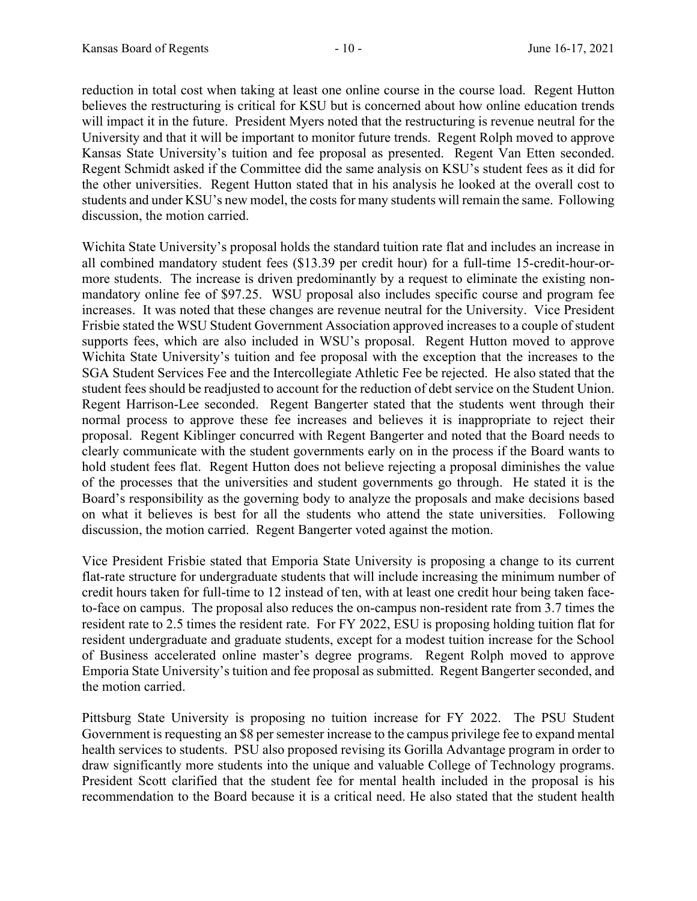reduction in total cost when taking at least one online course in the course load. Regent Hutton believes the restructuring is critical for KSU but is concerned about how online education trends will impact it in the future. President Myers noted that the restructuring is revenue neutral for the University and that it will be important to monitor future trends. Regent Rolph moved to approve Kansas State University's tuition and fee proposal as presented. Regent Van Etten seconded. Regent Schmidt asked if the Committee did the same analysis on KSU's student fees as it did for the other universities. Regent Hutton stated that in his analysis he looked at the overall cost to students and under KSU's new model, the costs for many students will remain the same. Following discussion, the motion carried.

Wichita State University's proposal holds the standard tuition rate flat and includes an increase in all combined mandatory student fees (\$13.39 per credit hour) for a full-time 15-credit-hour-ormore students. The increase is driven predominantly by a request to eliminate the existing nonmandatory online fee of \$97.25. WSU proposal also includes specific course and program fee increases. It was noted that these changes are revenue neutral for the University. Vice President Frisbie stated the WSU Student Government Association approved increases to a couple of student supports fees, which are also included in WSU's proposal. Regent Hutton moved to approve Wichita State University's tuition and fee proposal with the exception that the increases to the SGA Student Services Fee and the Intercollegiate Athletic Fee be rejected. He also stated that the student fees should be readjusted to account for the reduction of debt service on the Student Union. Regent Harrison-Lee seconded. Regent Bangerter stated that the students went through their normal process to approve these fee increases and believes it is inappropriate to reject their proposal. Regent Kiblinger concurred with Regent Bangerter and noted that the Board needs to clearly communicate with the student governments early on in the process if the Board wants to hold student fees flat. Regent Hutton does not believe rejecting a proposal diminishes the value of the processes that the universities and student governments go through. He stated it is the Board's responsibility as the governing body to analyze the proposals and make decisions based on what it believes is best for all the students who attend the state universities. Following discussion, the motion carried. Regent Bangerter voted against the motion.

Vice President Frisbie stated that Emporia State University is proposing a change to its current flat-rate structure for undergraduate students that will include increasing the minimum number of credit hours taken for full-time to 12 instead of ten, with at least one credit hour being taken faceto-face on campus. The proposal also reduces the on-campus non-resident rate from 3.7 times the resident rate to 2.5 times the resident rate. For FY 2022, ESU is proposing holding tuition flat for resident undergraduate and graduate students, except for a modest tuition increase for the School of Business accelerated online master's degree programs. Regent Rolph moved to approve Emporia State University's tuition and fee proposal as submitted. Regent Bangerter seconded, and the motion carried.

Pittsburg State University is proposing no tuition increase for FY 2022. The PSU Student Government is requesting an \$8 per semester increase to the campus privilege fee to expand mental health services to students. PSU also proposed revising its Gorilla Advantage program in order to draw significantly more students into the unique and valuable College of Technology programs. President Scott clarified that the student fee for mental health included in the proposal is his recommendation to the Board because it is a critical need. He also stated that the student health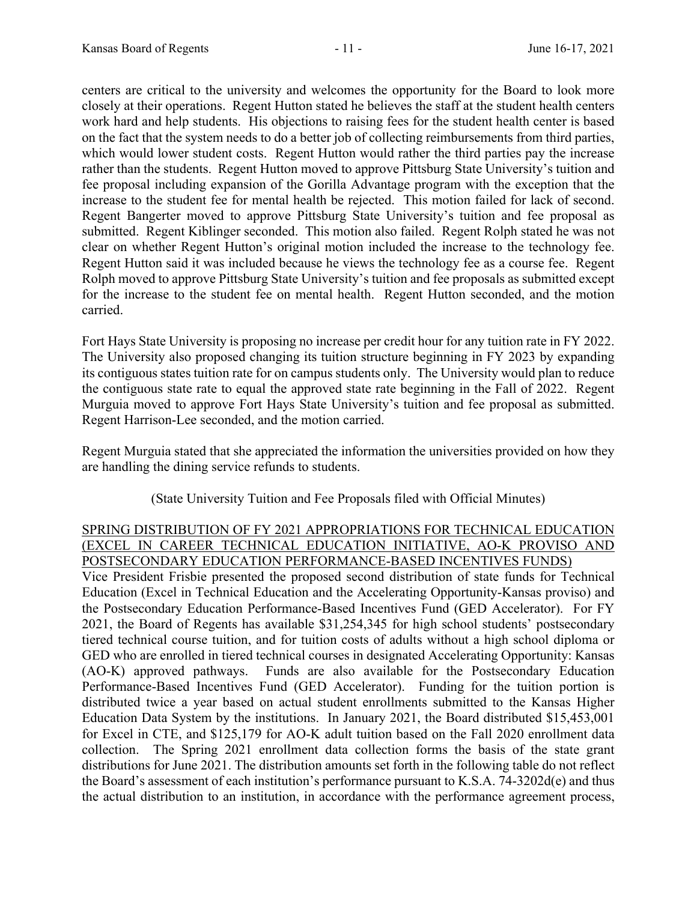centers are critical to the university and welcomes the opportunity for the Board to look more closely at their operations. Regent Hutton stated he believes the staff at the student health centers work hard and help students. His objections to raising fees for the student health center is based on the fact that the system needs to do a better job of collecting reimbursements from third parties, which would lower student costs. Regent Hutton would rather the third parties pay the increase rather than the students. Regent Hutton moved to approve Pittsburg State University's tuition and fee proposal including expansion of the Gorilla Advantage program with the exception that the increase to the student fee for mental health be rejected. This motion failed for lack of second. Regent Bangerter moved to approve Pittsburg State University's tuition and fee proposal as submitted. Regent Kiblinger seconded. This motion also failed. Regent Rolph stated he was not clear on whether Regent Hutton's original motion included the increase to the technology fee. Regent Hutton said it was included because he views the technology fee as a course fee. Regent Rolph moved to approve Pittsburg State University's tuition and fee proposals as submitted except for the increase to the student fee on mental health. Regent Hutton seconded, and the motion carried.

Fort Hays State University is proposing no increase per credit hour for any tuition rate in FY 2022. The University also proposed changing its tuition structure beginning in FY 2023 by expanding its contiguous states tuition rate for on campus students only. The University would plan to reduce the contiguous state rate to equal the approved state rate beginning in the Fall of 2022. Regent Murguia moved to approve Fort Hays State University's tuition and fee proposal as submitted. Regent Harrison-Lee seconded, and the motion carried.

Regent Murguia stated that she appreciated the information the universities provided on how they are handling the dining service refunds to students.

(State University Tuition and Fee Proposals filed with Official Minutes)

### SPRING DISTRIBUTION OF FY 2021 APPROPRIATIONS FOR TECHNICAL EDUCATION (EXCEL IN CAREER TECHNICAL EDUCATION INITIATIVE, AO-K PROVISO AND POSTSECONDARY EDUCATION PERFORMANCE-BASED INCENTIVES FUNDS)

Vice President Frisbie presented the proposed second distribution of state funds for Technical Education (Excel in Technical Education and the Accelerating Opportunity-Kansas proviso) and the Postsecondary Education Performance-Based Incentives Fund (GED Accelerator). For FY 2021, the Board of Regents has available \$31,254,345 for high school students' postsecondary tiered technical course tuition, and for tuition costs of adults without a high school diploma or GED who are enrolled in tiered technical courses in designated Accelerating Opportunity: Kansas (AO-K) approved pathways. Funds are also available for the Postsecondary Education Performance-Based Incentives Fund (GED Accelerator). Funding for the tuition portion is distributed twice a year based on actual student enrollments submitted to the Kansas Higher Education Data System by the institutions. In January 2021, the Board distributed \$15,453,001 for Excel in CTE, and \$125,179 for AO-K adult tuition based on the Fall 2020 enrollment data collection. The Spring 2021 enrollment data collection forms the basis of the state grant distributions for June 2021. The distribution amounts set forth in the following table do not reflect the Board's assessment of each institution's performance pursuant to K.S.A. 74-3202d(e) and thus the actual distribution to an institution, in accordance with the performance agreement process,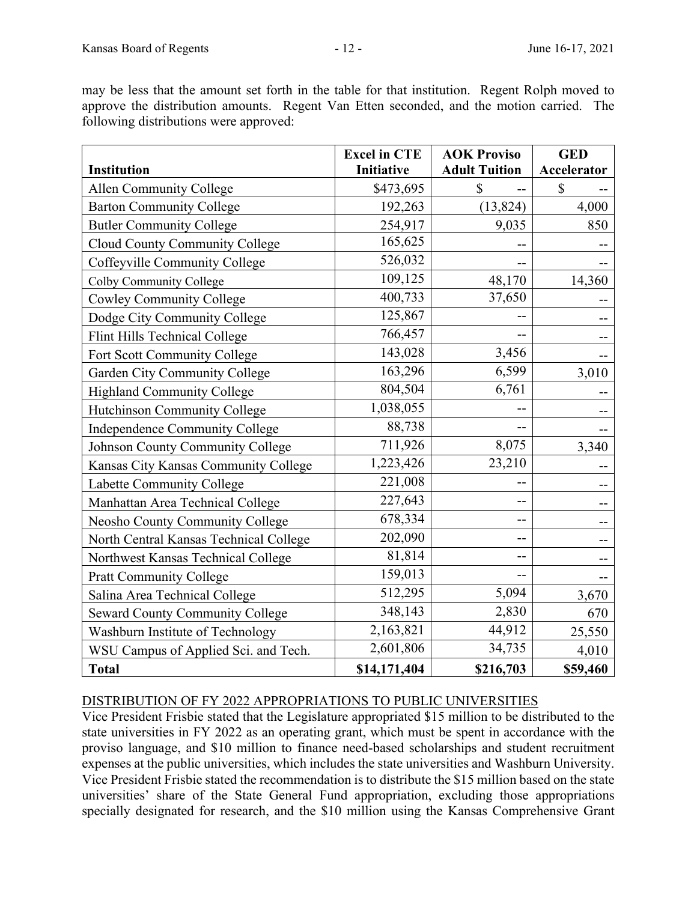may be less that the amount set forth in the table for that institution. Regent Rolph moved to approve the distribution amounts. Regent Van Etten seconded, and the motion carried. The following distributions were approved:

|                                        | <b>Excel in CTE</b> | <b>AOK Proviso</b>   | <b>GED</b>  |
|----------------------------------------|---------------------|----------------------|-------------|
| Institution                            | Initiative          | <b>Adult Tuition</b> | Accelerator |
| <b>Allen Community College</b>         | \$473,695           | \$                   | \$          |
| <b>Barton Community College</b>        | 192,263             | (13, 824)            | 4,000       |
| <b>Butler Community College</b>        | 254,917             | 9,035                | 850         |
| <b>Cloud County Community College</b>  | 165,625             |                      |             |
| Coffeyville Community College          | 526,032             |                      |             |
| Colby Community College                | 109,125             | 48,170               | 14,360      |
| <b>Cowley Community College</b>        | 400,733             | 37,650               |             |
| Dodge City Community College           | 125,867             |                      |             |
| Flint Hills Technical College          | 766,457             |                      |             |
| Fort Scott Community College           | 143,028             | 3,456                |             |
| Garden City Community College          | 163,296             | 6,599                | 3,010       |
| <b>Highland Community College</b>      | 804,504             | 6,761                |             |
| Hutchinson Community College           | 1,038,055           |                      |             |
| Independence Community College         | 88,738              |                      |             |
| Johnson County Community College       | 711,926             | 8,075                | 3,340       |
| Kansas City Kansas Community College   | 1,223,426           | 23,210               |             |
| Labette Community College              | 221,008             |                      |             |
| Manhattan Area Technical College       | 227,643             | --                   |             |
| Neosho County Community College        | 678,334             | --                   |             |
| North Central Kansas Technical College | 202,090             |                      |             |
| Northwest Kansas Technical College     | 81,814              |                      |             |
| <b>Pratt Community College</b>         | 159,013             | --                   |             |
| Salina Area Technical College          | 512,295             | 5,094                | 3,670       |
| <b>Seward County Community College</b> | 348,143             | 2,830                | 670         |
| Washburn Institute of Technology       | 2,163,821           | 44,912               | 25,550      |
| WSU Campus of Applied Sci. and Tech.   | 2,601,806           | 34,735               | 4,010       |
| <b>Total</b>                           | \$14,171,404        | \$216,703            | \$59,460    |

# DISTRIBUTION OF FY 2022 APPROPRIATIONS TO PUBLIC UNIVERSITIES

Vice President Frisbie stated that the Legislature appropriated \$15 million to be distributed to the state universities in FY 2022 as an operating grant, which must be spent in accordance with the proviso language, and \$10 million to finance need-based scholarships and student recruitment expenses at the public universities, which includes the state universities and Washburn University. Vice President Frisbie stated the recommendation is to distribute the \$15 million based on the state universities' share of the State General Fund appropriation, excluding those appropriations specially designated for research, and the \$10 million using the Kansas Comprehensive Grant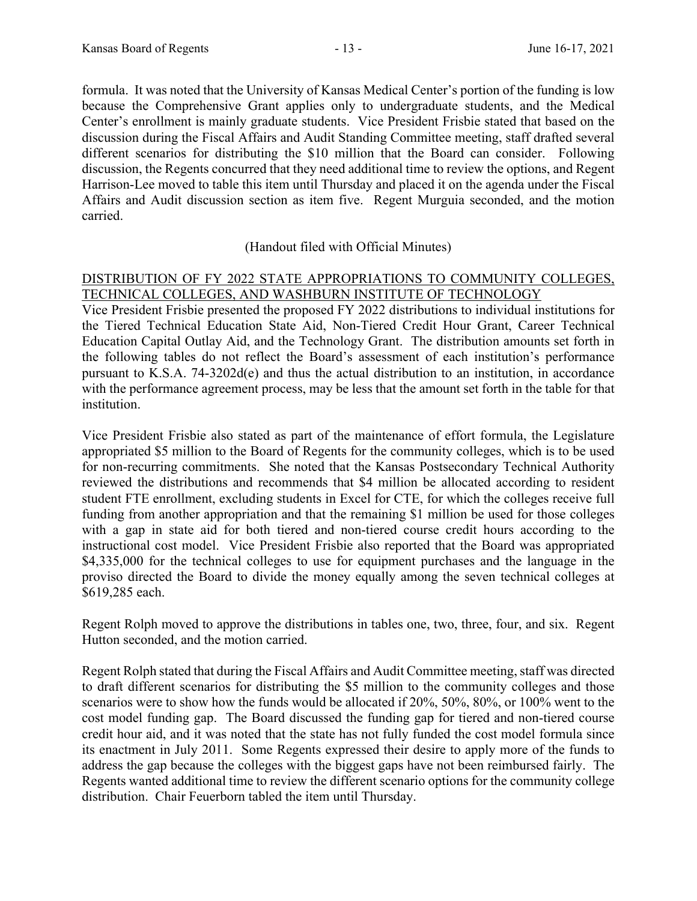formula. It was noted that the University of Kansas Medical Center's portion of the funding is low because the Comprehensive Grant applies only to undergraduate students, and the Medical Center's enrollment is mainly graduate students. Vice President Frisbie stated that based on the discussion during the Fiscal Affairs and Audit Standing Committee meeting, staff drafted several different scenarios for distributing the \$10 million that the Board can consider. Following discussion, the Regents concurred that they need additional time to review the options, and Regent Harrison-Lee moved to table this item until Thursday and placed it on the agenda under the Fiscal Affairs and Audit discussion section as item five. Regent Murguia seconded, and the motion carried.

# (Handout filed with Official Minutes)

# DISTRIBUTION OF FY 2022 STATE APPROPRIATIONS TO COMMUNITY COLLEGES, TECHNICAL COLLEGES, AND WASHBURN INSTITUTE OF TECHNOLOGY

Vice President Frisbie presented the proposed FY 2022 distributions to individual institutions for the Tiered Technical Education State Aid, Non-Tiered Credit Hour Grant, Career Technical Education Capital Outlay Aid, and the Technology Grant. The distribution amounts set forth in the following tables do not reflect the Board's assessment of each institution's performance pursuant to K.S.A. 74-3202d(e) and thus the actual distribution to an institution, in accordance with the performance agreement process, may be less that the amount set forth in the table for that institution.

Vice President Frisbie also stated as part of the maintenance of effort formula, the Legislature appropriated \$5 million to the Board of Regents for the community colleges, which is to be used for non-recurring commitments. She noted that the Kansas Postsecondary Technical Authority reviewed the distributions and recommends that \$4 million be allocated according to resident student FTE enrollment, excluding students in Excel for CTE, for which the colleges receive full funding from another appropriation and that the remaining \$1 million be used for those colleges with a gap in state aid for both tiered and non-tiered course credit hours according to the instructional cost model. Vice President Frisbie also reported that the Board was appropriated \$4,335,000 for the technical colleges to use for equipment purchases and the language in the proviso directed the Board to divide the money equally among the seven technical colleges at \$619,285 each.

Regent Rolph moved to approve the distributions in tables one, two, three, four, and six. Regent Hutton seconded, and the motion carried.

Regent Rolph stated that during the Fiscal Affairs and Audit Committee meeting, staff was directed to draft different scenarios for distributing the \$5 million to the community colleges and those scenarios were to show how the funds would be allocated if 20%, 50%, 80%, or 100% went to the cost model funding gap. The Board discussed the funding gap for tiered and non-tiered course credit hour aid, and it was noted that the state has not fully funded the cost model formula since its enactment in July 2011. Some Regents expressed their desire to apply more of the funds to address the gap because the colleges with the biggest gaps have not been reimbursed fairly. The Regents wanted additional time to review the different scenario options for the community college distribution. Chair Feuerborn tabled the item until Thursday.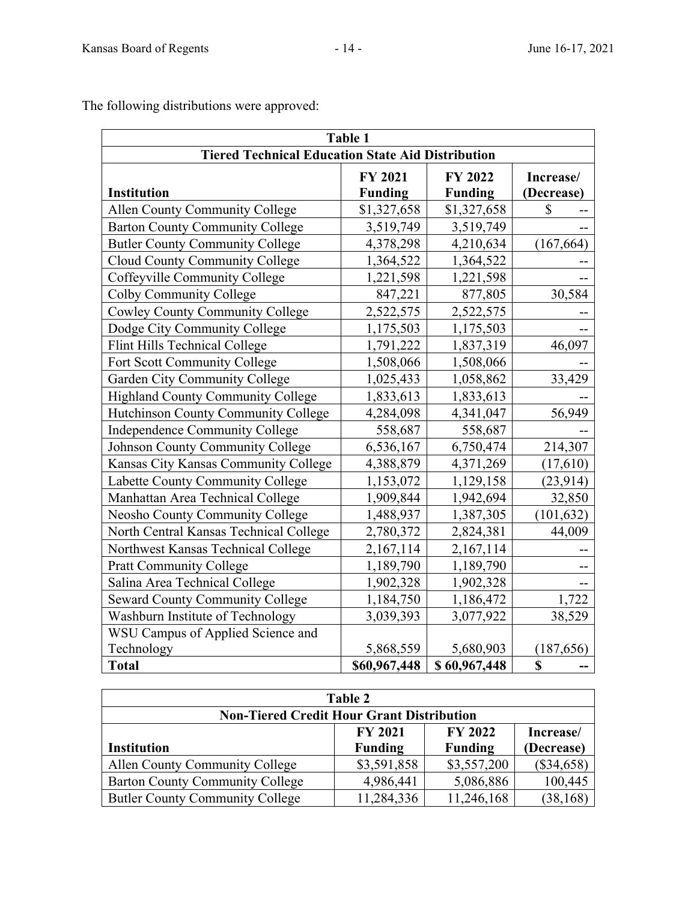<u>Table 1 and 1 and 1 and 1 and 1 and 1 and 1 and 1 and 1 and 1 and 1 and 1 and 1 and 1 and 1 and 1 and 1 and 1</u>

|                                                          | <b>Table 1</b> |                |              |
|----------------------------------------------------------|----------------|----------------|--------------|
| <b>Tiered Technical Education State Aid Distribution</b> |                |                |              |
|                                                          | FY 2021        | <b>FY 2022</b> | Increase/    |
| <b>Institution</b>                                       | <b>Funding</b> | <b>Funding</b> | (Decrease)   |
| <b>Allen County Community College</b>                    | \$1,327,658    | \$1,327,658    | $\mathbb{S}$ |
| <b>Barton County Community College</b>                   | 3,519,749      | 3,519,749      |              |
| <b>Butler County Community College</b>                   | 4,378,298      | 4,210,634      | (167, 664)   |
| Cloud County Community College                           | 1,364,522      | 1,364,522      |              |
| Coffeyville Community College                            | 1,221,598      | 1,221,598      | $-$          |
| Colby Community College                                  | 847,221        | 877,805        | 30,584       |
| <b>Cowley County Community College</b>                   | 2,522,575      | 2,522,575      |              |
| Dodge City Community College                             | 1,175,503      | 1,175,503      |              |
| Flint Hills Technical College                            | 1,791,222      | 1,837,319      | 46,097       |
| Fort Scott Community College                             | 1,508,066      | 1,508,066      |              |
| Garden City Community College                            | 1,025,433      | 1,058,862      | 33,429       |
| Highland County Community College                        | 1,833,613      | 1,833,613      |              |
| Hutchinson County Community College                      | 4,284,098      | 4,341,047      | 56,949       |
| Independence Community College                           | 558,687        | 558,687        |              |
| <b>Johnson County Community College</b>                  | 6,536,167      | 6,750,474      | 214,307      |
| Kansas City Kansas Community College                     | 4,388,879      | 4,371,269      | (17,610)     |
| Labette County Community College                         | 1,153,072      | 1,129,158      | (23, 914)    |
| Manhattan Area Technical College                         | 1,909,844      | 1,942,694      | 32,850       |
| Neosho County Community College                          | 1,488,937      | 1,387,305      | (101, 632)   |
| North Central Kansas Technical College                   | 2,780,372      | 2,824,381      | 44,009       |
| Northwest Kansas Technical College                       | 2,167,114      | 2,167,114      |              |
| <b>Pratt Community College</b>                           | 1,189,790      | 1,189,790      |              |
| Salina Area Technical College                            | 1,902,328      | 1,902,328      |              |
| <b>Seward County Community College</b>                   | 1,184,750      | 1,186,472      | 1,722        |
| Washburn Institute of Technology                         | 3,039,393      | 3,077,922      | 38,529       |
| WSU Campus of Applied Science and                        |                |                |              |
| Technology                                               | 5,868,559      | 5,680,903      | (187, 656)   |
| <b>Total</b>                                             | \$60,967,448   | \$60,967,448   | \$           |

The following distributions were approved:

| Table 2                                          |                |                |              |
|--------------------------------------------------|----------------|----------------|--------------|
| <b>Non-Tiered Credit Hour Grant Distribution</b> |                |                |              |
|                                                  | <b>FY 2021</b> | <b>FY 2022</b> | Increase/    |
| <b>Institution</b>                               | <b>Funding</b> | <b>Funding</b> | (Decrease)   |
| Allen County Community College                   | \$3,591,858    | \$3,557,200    | $(\$34,658)$ |
| <b>Barton County Community College</b>           | 4,986,441      | 5,086,886      | 100,445      |
| <b>Butler County Community College</b>           | 11,284,336     | 11,246,168     | (38, 168)    |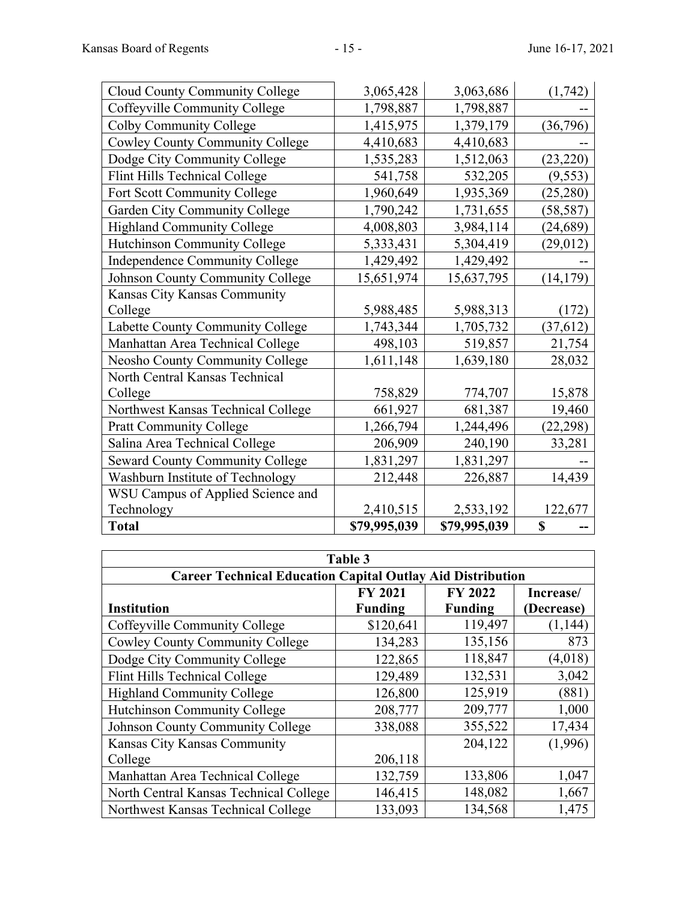| <b>Cloud County Community College</b>  | 3,065,428    | 3,063,686    | (1,742)   |
|----------------------------------------|--------------|--------------|-----------|
| Coffeyville Community College          | 1,798,887    | 1,798,887    |           |
| Colby Community College                | 1,415,975    | 1,379,179    | (36,796)  |
| <b>Cowley County Community College</b> | 4,410,683    | 4,410,683    |           |
| Dodge City Community College           | 1,535,283    | 1,512,063    | (23, 220) |
| Flint Hills Technical College          | 541,758      | 532,205      | (9, 553)  |
| Fort Scott Community College           | 1,960,649    | 1,935,369    | (25, 280) |
| Garden City Community College          | 1,790,242    | 1,731,655    | (58, 587) |
| <b>Highland Community College</b>      | 4,008,803    | 3,984,114    | (24, 689) |
| Hutchinson Community College           | 5,333,431    | 5,304,419    | (29,012)  |
| Independence Community College         | 1,429,492    | 1,429,492    |           |
| Johnson County Community College       | 15,651,974   | 15,637,795   | (14, 179) |
| Kansas City Kansas Community           |              |              |           |
| College                                | 5,988,485    | 5,988,313    | (172)     |
| Labette County Community College       | 1,743,344    | 1,705,732    | (37, 612) |
| Manhattan Area Technical College       | 498,103      | 519,857      | 21,754    |
| Neosho County Community College        | 1,611,148    | 1,639,180    | 28,032    |
| North Central Kansas Technical         |              |              |           |
| College                                | 758,829      | 774,707      | 15,878    |
| Northwest Kansas Technical College     | 661,927      | 681,387      | 19,460    |
| <b>Pratt Community College</b>         | 1,266,794    | 1,244,496    | (22, 298) |
| Salina Area Technical College          | 206,909      | 240,190      | 33,281    |
| <b>Seward County Community College</b> | 1,831,297    | 1,831,297    |           |
| Washburn Institute of Technology       | 212,448      | 226,887      | 14,439    |
| WSU Campus of Applied Science and      |              |              |           |
| Technology                             | 2,410,515    | 2,533,192    | 122,677   |
| <b>Total</b>                           | \$79,995,039 | \$79,995,039 | \$        |

| Table 3                                                           |                |                |            |  |
|-------------------------------------------------------------------|----------------|----------------|------------|--|
| <b>Career Technical Education Capital Outlay Aid Distribution</b> |                |                |            |  |
| FY 2022<br><b>FY 2021</b><br>Increase/                            |                |                |            |  |
| <b>Institution</b>                                                | <b>Funding</b> | <b>Funding</b> | (Decrease) |  |
| Coffeyville Community College                                     | \$120,641      | 119,497        | (1, 144)   |  |
| <b>Cowley County Community College</b>                            | 134,283        | 135,156        | 873        |  |
| Dodge City Community College                                      | 122,865        | 118,847        | (4,018)    |  |
| Flint Hills Technical College                                     | 129,489        | 132,531        | 3,042      |  |
| <b>Highland Community College</b>                                 | 126,800        | 125,919        | (881)      |  |
| Hutchinson Community College                                      | 208,777        | 209,777        | 1,000      |  |
| Johnson County Community College                                  | 338,088        | 355,522        | 17,434     |  |
| Kansas City Kansas Community                                      |                | 204,122        | (1,996)    |  |
| College                                                           | 206,118        |                |            |  |
| Manhattan Area Technical College                                  | 132,759        | 133,806        | 1,047      |  |
| North Central Kansas Technical College                            | 146,415        | 148,082        | 1,667      |  |
| Northwest Kansas Technical College                                | 133,093        | 134,568        | 1,475      |  |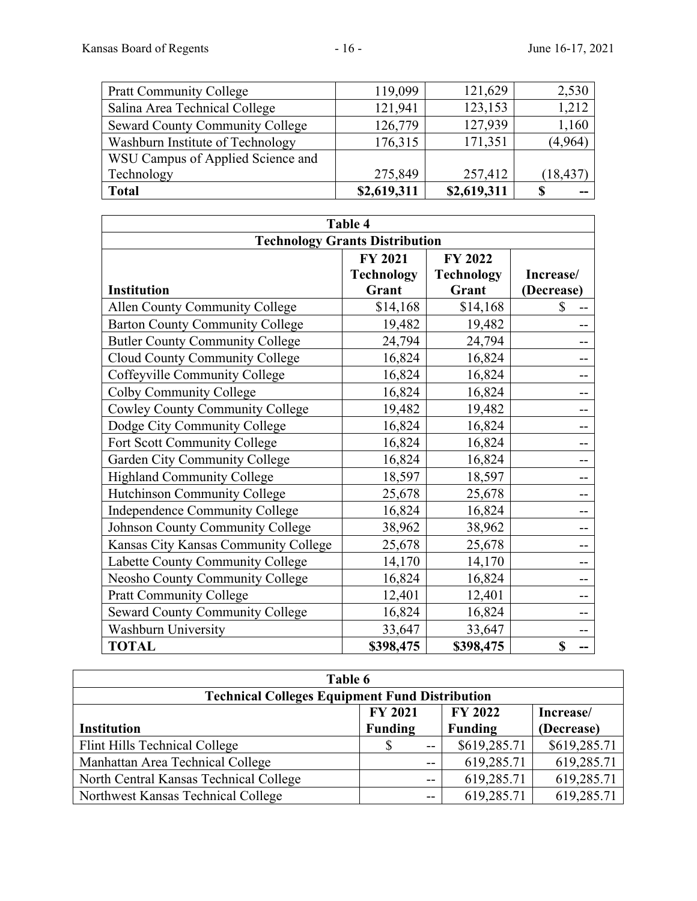| <b>Pratt Community College</b>         | 119,099     | 121,629     | 2,530     |
|----------------------------------------|-------------|-------------|-----------|
| Salina Area Technical College          | 121,941     | 123,153     | 1,212     |
| <b>Seward County Community College</b> | 126,779     | 127,939     | 1,160     |
| Washburn Institute of Technology       | 176,315     | 171,351     | (4,964)   |
| WSU Campus of Applied Science and      |             |             |           |
| Technology                             | 275,849     | 257,412     | (18, 437) |
| <b>Total</b>                           | \$2,619,311 | \$2,619,311 | S         |

| <b>Table 4</b>                         |                   |                   |            |  |
|----------------------------------------|-------------------|-------------------|------------|--|
| <b>Technology Grants Distribution</b>  |                   |                   |            |  |
|                                        | <b>FY 2021</b>    | <b>FY 2022</b>    |            |  |
|                                        | <b>Technology</b> | <b>Technology</b> | Increase/  |  |
| <b>Institution</b>                     | Grant             | Grant             | (Decrease) |  |
| Allen County Community College         | \$14,168          | \$14,168          | \$         |  |
| <b>Barton County Community College</b> | 19,482            | 19,482            |            |  |
| <b>Butler County Community College</b> | 24,794            | 24,794            |            |  |
| Cloud County Community College         | 16,824            | 16,824            |            |  |
| Coffeyville Community College          | 16,824            | 16,824            |            |  |
| Colby Community College                | 16,824            | 16,824            |            |  |
| <b>Cowley County Community College</b> | 19,482            | 19,482            |            |  |
| Dodge City Community College           | 16,824            | 16,824            |            |  |
| Fort Scott Community College           | 16,824            | 16,824            |            |  |
| Garden City Community College          | 16,824            | 16,824            |            |  |
| <b>Highland Community College</b>      | 18,597            | 18,597            |            |  |
| Hutchinson Community College           | 25,678            | 25,678            |            |  |
| Independence Community College         | 16,824            | 16,824            |            |  |
| Johnson County Community College       | 38,962            | 38,962            |            |  |
| Kansas City Kansas Community College   | 25,678            | 25,678            |            |  |
| Labette County Community College       | 14,170            | 14,170            |            |  |
| Neosho County Community College        | 16,824            | 16,824            |            |  |
| <b>Pratt Community College</b>         | 12,401            | 12,401            |            |  |
| <b>Seward County Community College</b> | 16,824            | 16,824            |            |  |
| <b>Washburn University</b>             | 33,647            | 33,647            |            |  |
| <b>TOTAL</b>                           | \$398,475         | \$398,475         | \$<br>--   |  |

| Table 6                                               |                |     |                |              |
|-------------------------------------------------------|----------------|-----|----------------|--------------|
| <b>Technical Colleges Equipment Fund Distribution</b> |                |     |                |              |
| <b>FY 2021</b><br><b>FY 2022</b><br>Increase/         |                |     |                |              |
| <b>Institution</b>                                    | <b>Funding</b> |     | <b>Funding</b> | (Decrease)   |
| Flint Hills Technical College                         |                | $-$ | \$619,285.71   | \$619,285.71 |
| Manhattan Area Technical College                      |                | $-$ | 619,285.71     | 619,285.71   |
| North Central Kansas Technical College                |                | $-$ | 619,285.71     | 619,285.71   |
| Northwest Kansas Technical College                    |                | $-$ | 619,285.71     | 619,285.71   |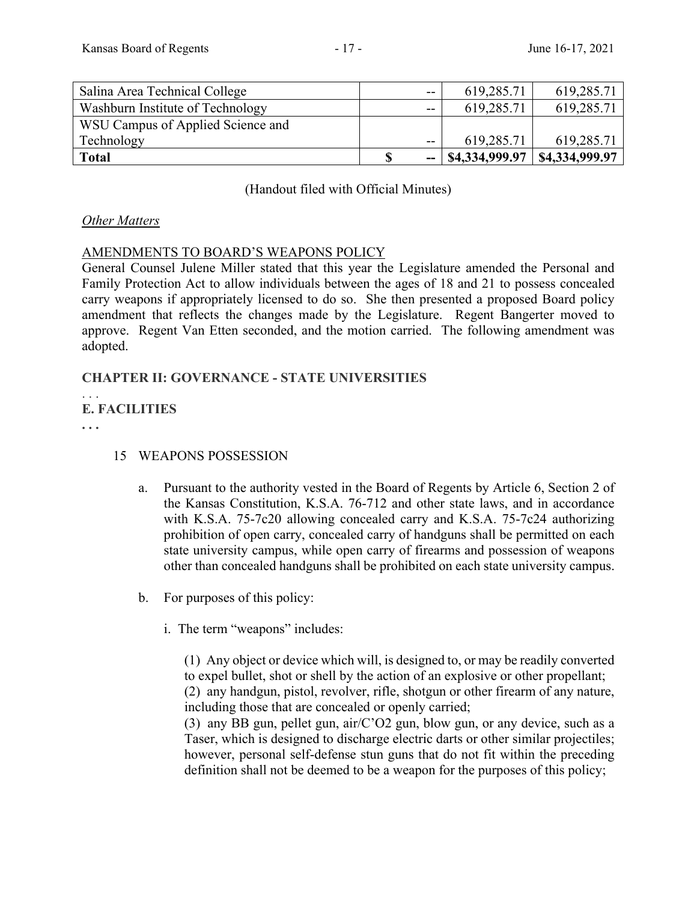| Salina Area Technical College     | $- -$                    | 619,285.71     | 619,285.71     |
|-----------------------------------|--------------------------|----------------|----------------|
| Washburn Institute of Technology  | $-$                      | 619,285.71     | 619,285.71     |
| WSU Campus of Applied Science and |                          |                |                |
| Technology                        | $-$                      | 619,285.71     | 619,285.71     |
| <b>Total</b>                      | $\overline{\phantom{a}}$ | \$4,334,999.97 | \$4,334,999.97 |

(Handout filed with Official Minutes)

### *Other Matters*

### AMENDMENTS TO BOARD'S WEAPONS POLICY

General Counsel Julene Miller stated that this year the Legislature amended the Personal and Family Protection Act to allow individuals between the ages of 18 and 21 to possess concealed carry weapons if appropriately licensed to do so. She then presented a proposed Board policy amendment that reflects the changes made by the Legislature. Regent Bangerter moved to approve. Regent Van Etten seconded, and the motion carried. The following amendment was adopted.

# **CHAPTER II: GOVERNANCE - STATE UNIVERSITIES**

```
. . . 
E. FACILITIES
```
**. . .**

# 15 WEAPONS POSSESSION

- a.Pursuant to the authority vested in the Board of Regents by Article 6, Section 2 of the Kansas Constitution, K.S.A. 76-712 and other state laws, and in accordance with K.S.A. 75-7c20 allowing concealed carry and K.S.A. 75-7c24 authorizing prohibition of open carry, concealed carry of handguns shall be permitted on each state university campus, while open carry of firearms and possession of weapons other than concealed handguns shall be prohibited on each state university campus.
- b. For purposes of this policy:
	- i. The term "weapons" includes:

 (1) Any object or device which will, is designed to, or may be readily converted to expel bullet, shot or shell by the action of an explosive or other propellant; (2) any handgun, pistol, revolver, rifle, shotgun or other firearm of any nature, including those that are concealed or openly carried;

 (3) any BB gun, pellet gun, air/C'O2 gun, blow gun, or any device, such as a Taser, which is designed to discharge electric darts or other similar projectiles; however, personal self-defense stun guns that do not fit within the preceding definition shall not be deemed to be a weapon for the purposes of this policy;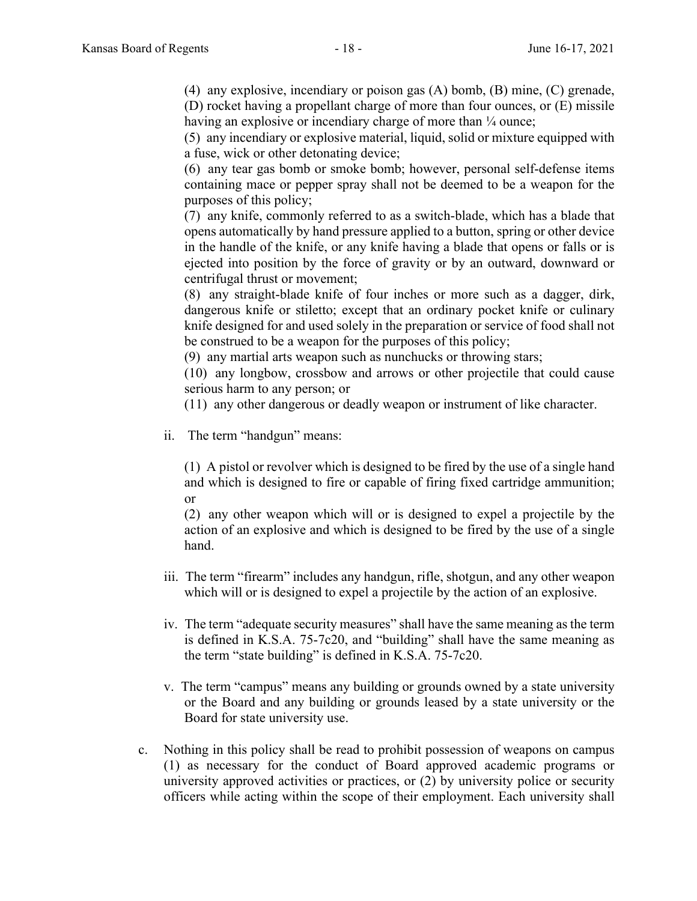(4) any explosive, incendiary or poison gas (A) bomb, (B) mine, (C) grenade, (D) rocket having a propellant charge of more than four ounces, or (E) missile having an explosive or incendiary charge of more than  $\frac{1}{4}$  ounce;

 (5) any incendiary or explosive material, liquid, solid or mixture equipped with a fuse, wick or other detonating device;

 (6) any tear gas bomb or smoke bomb; however, personal self-defense items containing mace or pepper spray shall not be deemed to be a weapon for the purposes of this policy;

 (7) any knife, commonly referred to as a switch-blade, which has a blade that opens automatically by hand pressure applied to a button, spring or other device in the handle of the knife, or any knife having a blade that opens or falls or is ejected into position by the force of gravity or by an outward, downward or centrifugal thrust or movement;

 (8) any straight-blade knife of four inches or more such as a dagger, dirk, dangerous knife or stiletto; except that an ordinary pocket knife or culinary knife designed for and used solely in the preparation or service of food shall not be construed to be a weapon for the purposes of this policy;

(9) any martial arts weapon such as nunchucks or throwing stars;

 (10) any longbow, crossbow and arrows or other projectile that could cause serious harm to any person; or

(11) any other dangerous or deadly weapon or instrument of like character.

ii. The term "handgun" means:

 (1) A pistol or revolver which is designed to be fired by the use of a single hand and which is designed to fire or capable of firing fixed cartridge ammunition; or

 (2) any other weapon which will or is designed to expel a projectile by the action of an explosive and which is designed to be fired by the use of a single hand.

- iii. The term "firearm" includes any handgun, rifle, shotgun, and any other weapon which will or is designed to expel a projectile by the action of an explosive.
- iv. The term "adequate security measures" shall have the same meaning as the term is defined in K.S.A. 75-7c20, and "building" shall have the same meaning as the term "state building" is defined in K.S.A. 75-7c20.
- v. The term "campus" means any building or grounds owned by a state university or the Board and any building or grounds leased by a state university or the Board for state university use.
- c. Nothing in this policy shall be read to prohibit possession of weapons on campus (1) as necessary for the conduct of Board approved academic programs or university approved activities or practices, or (2) by university police or security officers while acting within the scope of their employment. Each university shall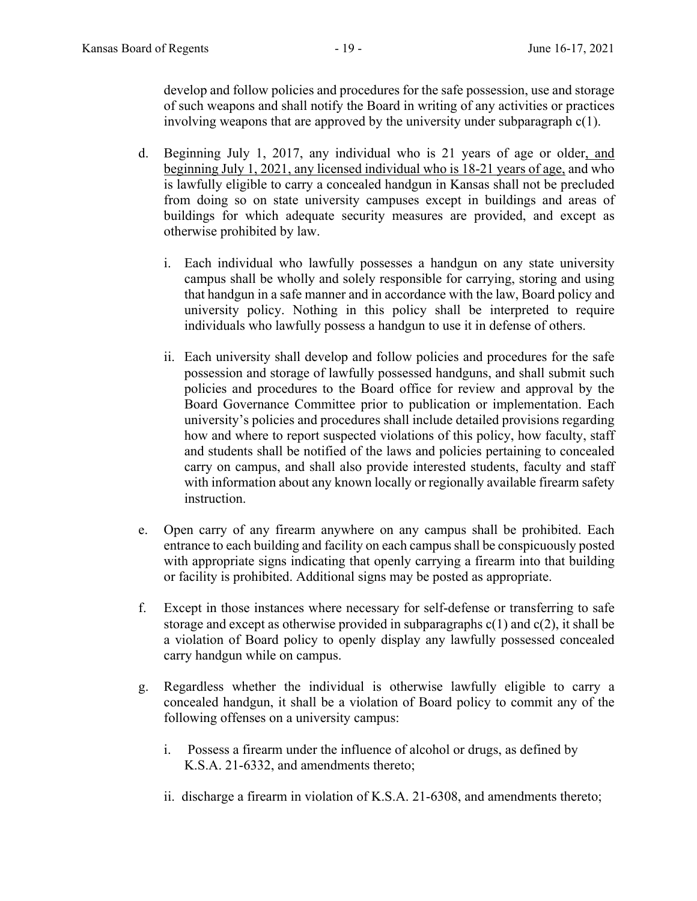develop and follow policies and procedures for the safe possession, use and storage of such weapons and shall notify the Board in writing of any activities or practices involving weapons that are approved by the university under subparagraph c(1).

- d. Beginning July 1, 2017, any individual who is 21 years of age or older, and beginning July 1, 2021, any licensed individual who is 18-21 years of age, and who is lawfully eligible to carry a concealed handgun in Kansas shall not be precluded from doing so on state university campuses except in buildings and areas of buildings for which adequate security measures are provided, and except as otherwise prohibited by law.
	- i. Each individual who lawfully possesses a handgun on any state university campus shall be wholly and solely responsible for carrying, storing and using that handgun in a safe manner and in accordance with the law, Board policy and university policy. Nothing in this policy shall be interpreted to require individuals who lawfully possess a handgun to use it in defense of others.
	- ii. Each university shall develop and follow policies and procedures for the safe possession and storage of lawfully possessed handguns, and shall submit such policies and procedures to the Board office for review and approval by the Board Governance Committee prior to publication or implementation. Each university's policies and procedures shall include detailed provisions regarding how and where to report suspected violations of this policy, how faculty, staff and students shall be notified of the laws and policies pertaining to concealed carry on campus, and shall also provide interested students, faculty and staff with information about any known locally or regionally available firearm safety instruction.
- e. Open carry of any firearm anywhere on any campus shall be prohibited. Each entrance to each building and facility on each campus shall be conspicuously posted with appropriate signs indicating that openly carrying a firearm into that building or facility is prohibited. Additional signs may be posted as appropriate.
- f. Except in those instances where necessary for self-defense or transferring to safe storage and except as otherwise provided in subparagraphs  $c(1)$  and  $c(2)$ , it shall be a violation of Board policy to openly display any lawfully possessed concealed carry handgun while on campus.
- g. Regardless whether the individual is otherwise lawfully eligible to carry a concealed handgun, it shall be a violation of Board policy to commit any of the following offenses on a university campus:
	- i. Possess a firearm under the influence of alcohol or drugs, as defined by K.S.A. 21-6332, and amendments thereto;
	- ii. discharge a firearm in violation of K.S.A. 21-6308, and amendments thereto;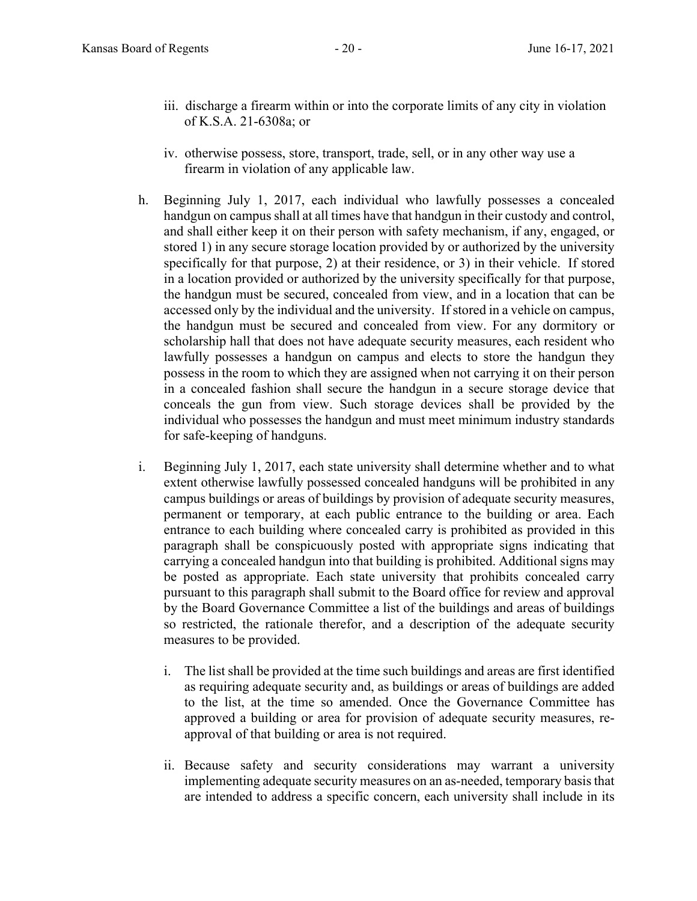- iii. discharge a firearm within or into the corporate limits of any city in violation of K.S.A. 21-6308a; or
- iv. otherwise possess, store, transport, trade, sell, or in any other way use a firearm in violation of any applicable law.
- h. Beginning July 1, 2017, each individual who lawfully possesses a concealed handgun on campus shall at all times have that handgun in their custody and control, and shall either keep it on their person with safety mechanism, if any, engaged, or stored 1) in any secure storage location provided by or authorized by the university specifically for that purpose, 2) at their residence, or 3) in their vehicle. If stored in a location provided or authorized by the university specifically for that purpose, the handgun must be secured, concealed from view, and in a location that can be accessed only by the individual and the university. If stored in a vehicle on campus, the handgun must be secured and concealed from view. For any dormitory or scholarship hall that does not have adequate security measures, each resident who lawfully possesses a handgun on campus and elects to store the handgun they possess in the room to which they are assigned when not carrying it on their person in a concealed fashion shall secure the handgun in a secure storage device that conceals the gun from view. Such storage devices shall be provided by the individual who possesses the handgun and must meet minimum industry standards for safe-keeping of handguns.
- i. Beginning July 1, 2017, each state university shall determine whether and to what extent otherwise lawfully possessed concealed handguns will be prohibited in any campus buildings or areas of buildings by provision of adequate security measures, permanent or temporary, at each public entrance to the building or area. Each entrance to each building where concealed carry is prohibited as provided in this paragraph shall be conspicuously posted with appropriate signs indicating that carrying a concealed handgun into that building is prohibited. Additional signs may be posted as appropriate. Each state university that prohibits concealed carry pursuant to this paragraph shall submit to the Board office for review and approval by the Board Governance Committee a list of the buildings and areas of buildings so restricted, the rationale therefor, and a description of the adequate security measures to be provided.
	- i. The list shall be provided at the time such buildings and areas are first identified as requiring adequate security and, as buildings or areas of buildings are added to the list, at the time so amended. Once the Governance Committee has approved a building or area for provision of adequate security measures, reapproval of that building or area is not required.
	- ii. Because safety and security considerations may warrant a university implementing adequate security measures on an as-needed, temporary basis that are intended to address a specific concern, each university shall include in its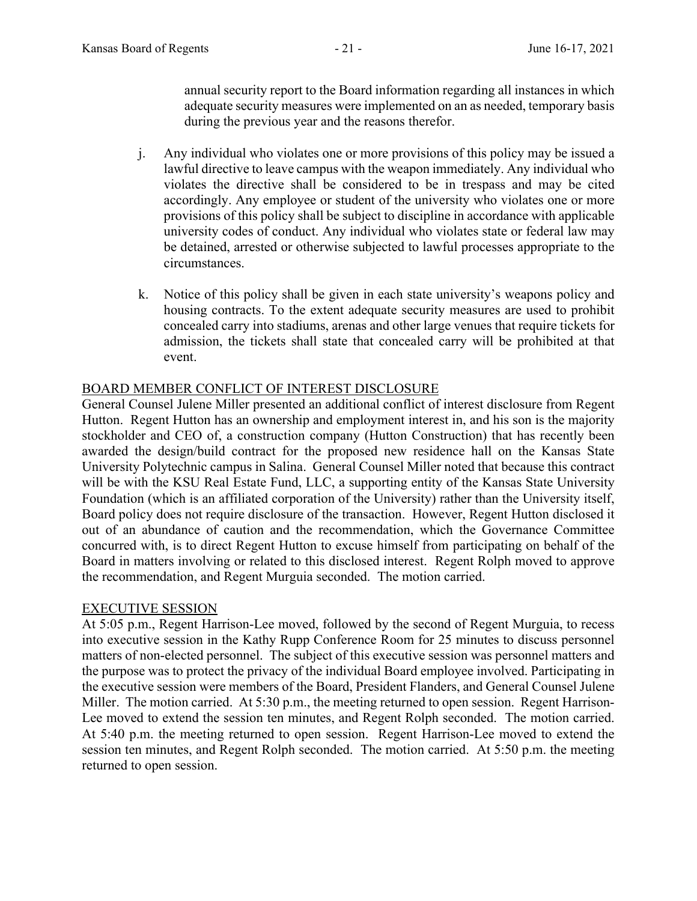annual security report to the Board information regarding all instances in which adequate security measures were implemented on an as needed, temporary basis during the previous year and the reasons therefor.

- j. Any individual who violates one or more provisions of this policy may be issued a lawful directive to leave campus with the weapon immediately. Any individual who violates the directive shall be considered to be in trespass and may be cited accordingly. Any employee or student of the university who violates one or more provisions of this policy shall be subject to discipline in accordance with applicable university codes of conduct. Any individual who violates state or federal law may be detained, arrested or otherwise subjected to lawful processes appropriate to the circumstances.
- k. Notice of this policy shall be given in each state university's weapons policy and housing contracts. To the extent adequate security measures are used to prohibit concealed carry into stadiums, arenas and other large venues that require tickets for admission, the tickets shall state that concealed carry will be prohibited at that event.

### BOARD MEMBER CONFLICT OF INTEREST DISCLOSURE

General Counsel Julene Miller presented an additional conflict of interest disclosure from Regent Hutton. Regent Hutton has an ownership and employment interest in, and his son is the majority stockholder and CEO of, a construction company (Hutton Construction) that has recently been awarded the design/build contract for the proposed new residence hall on the Kansas State University Polytechnic campus in Salina. General Counsel Miller noted that because this contract will be with the KSU Real Estate Fund, LLC, a supporting entity of the Kansas State University Foundation (which is an affiliated corporation of the University) rather than the University itself, Board policy does not require disclosure of the transaction. However, Regent Hutton disclosed it out of an abundance of caution and the recommendation, which the Governance Committee concurred with, is to direct Regent Hutton to excuse himself from participating on behalf of the Board in matters involving or related to this disclosed interest. Regent Rolph moved to approve the recommendation, and Regent Murguia seconded. The motion carried.

### EXECUTIVE SESSION

At 5:05 p.m., Regent Harrison-Lee moved, followed by the second of Regent Murguia, to recess into executive session in the Kathy Rupp Conference Room for 25 minutes to discuss personnel matters of non-elected personnel. The subject of this executive session was personnel matters and the purpose was to protect the privacy of the individual Board employee involved. Participating in the executive session were members of the Board, President Flanders, and General Counsel Julene Miller. The motion carried. At 5:30 p.m., the meeting returned to open session. Regent Harrison-Lee moved to extend the session ten minutes, and Regent Rolph seconded. The motion carried. At 5:40 p.m. the meeting returned to open session. Regent Harrison-Lee moved to extend the session ten minutes, and Regent Rolph seconded. The motion carried. At 5:50 p.m. the meeting returned to open session.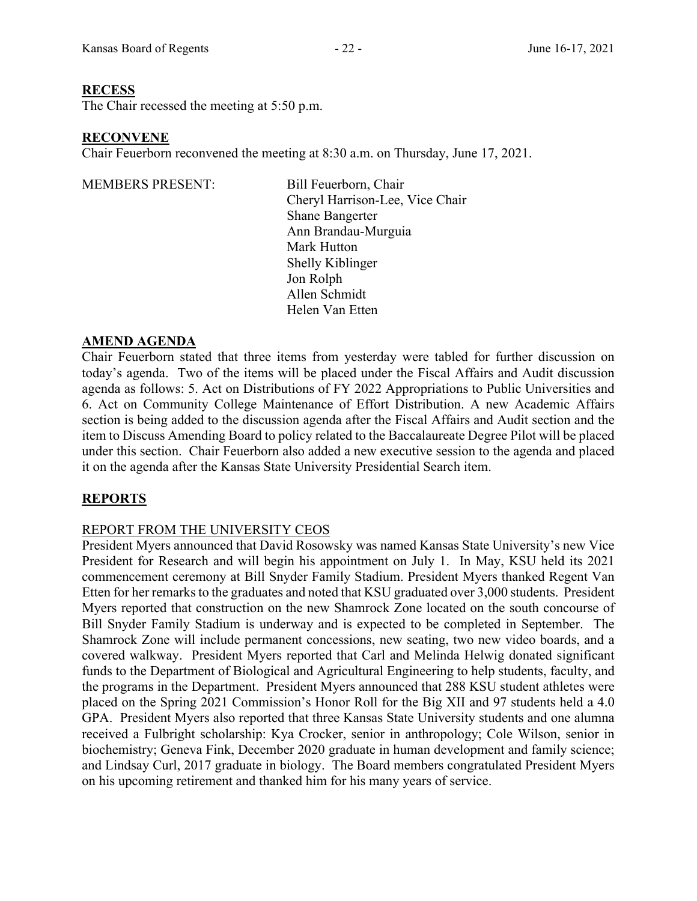### **RECESS**

The Chair recessed the meeting at 5:50 p.m.

### **RECONVENE**

Chair Feuerborn reconvened the meeting at 8:30 a.m. on Thursday, June 17, 2021.

MEMBERS PRESENT: Bill Feuerborn, Chair

Cheryl Harrison-Lee, Vice Chair Shane Bangerter Ann Brandau-Murguia Mark Hutton Shelly Kiblinger Jon Rolph Allen Schmidt Helen Van Etten

### **AMEND AGENDA**

Chair Feuerborn stated that three items from yesterday were tabled for further discussion on today's agenda. Two of the items will be placed under the Fiscal Affairs and Audit discussion agenda as follows: 5. Act on Distributions of FY 2022 Appropriations to Public Universities and 6. Act on Community College Maintenance of Effort Distribution. A new Academic Affairs section is being added to the discussion agenda after the Fiscal Affairs and Audit section and the item to Discuss Amending Board to policy related to the Baccalaureate Degree Pilot will be placed under this section. Chair Feuerborn also added a new executive session to the agenda and placed it on the agenda after the Kansas State University Presidential Search item.

# **REPORTS**

# REPORT FROM THE UNIVERSITY CEOS

President Myers announced that David Rosowsky was named Kansas State University's new Vice President for Research and will begin his appointment on July 1. In May, KSU held its 2021 commencement ceremony at Bill Snyder Family Stadium. President Myers thanked Regent Van Etten for her remarks to the graduates and noted that KSU graduated over 3,000 students. President Myers reported that construction on the new Shamrock Zone located on the south concourse of Bill Snyder Family Stadium is underway and is expected to be completed in September. The Shamrock Zone will include permanent concessions, new seating, two new video boards, and a covered walkway. President Myers reported that Carl and Melinda Helwig donated significant funds to the Department of Biological and Agricultural Engineering to help students, faculty, and the programs in the Department. President Myers announced that 288 KSU student athletes were placed on the Spring 2021 Commission's Honor Roll for the Big XII and 97 students held a 4.0 GPA. President Myers also reported that three Kansas State University students and one alumna received a Fulbright scholarship: Kya Crocker, senior in anthropology; Cole Wilson, senior in biochemistry; Geneva Fink, December 2020 graduate in human development and family science; and Lindsay Curl, 2017 graduate in biology. The Board members congratulated President Myers on his upcoming retirement and thanked him for his many years of service.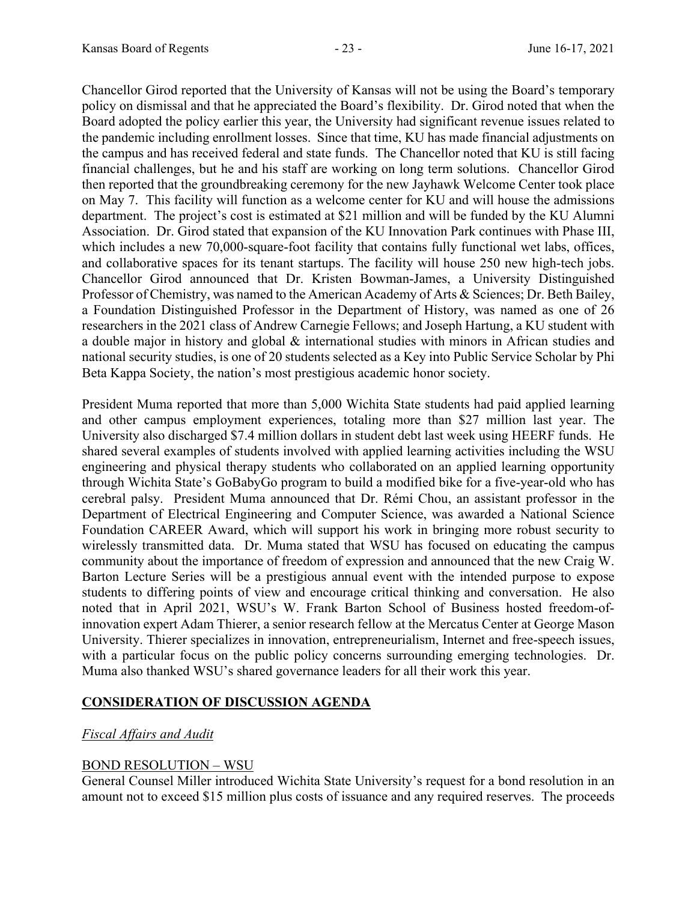Chancellor Girod reported that the University of Kansas will not be using the Board's temporary policy on dismissal and that he appreciated the Board's flexibility. Dr. Girod noted that when the Board adopted the policy earlier this year, the University had significant revenue issues related to the pandemic including enrollment losses. Since that time, KU has made financial adjustments on the campus and has received federal and state funds. The Chancellor noted that KU is still facing financial challenges, but he and his staff are working on long term solutions. Chancellor Girod then reported that the groundbreaking ceremony for the new Jayhawk Welcome Center took place on May 7. This facility will function as a welcome center for KU and will house the admissions department. The project's cost is estimated at \$21 million and will be funded by the KU Alumni Association. Dr. Girod stated that expansion of the KU Innovation Park continues with Phase III, which includes a new 70,000-square-foot facility that contains fully functional wet labs, offices, and collaborative spaces for its tenant startups. The facility will house 250 new high-tech jobs. Chancellor Girod announced that Dr. Kristen Bowman-James, a University Distinguished Professor of Chemistry, was named to the American Academy of Arts & Sciences; Dr. Beth Bailey, a Foundation Distinguished Professor in the Department of History, was named as one of 26 researchers in the 2021 class of Andrew Carnegie Fellows; and Joseph Hartung, a KU student with a double major in history and global & international studies with minors in African studies and national security studies, is one of 20 students selected as a Key into Public Service Scholar by Phi Beta Kappa Society, the nation's most prestigious academic honor society.

President Muma reported that more than 5,000 Wichita State students had paid applied learning and other campus employment experiences, totaling more than \$27 million last year. The University also discharged \$7.4 million dollars in student debt last week using HEERF funds. He shared several examples of students involved with applied learning activities including the WSU engineering and physical therapy students who collaborated on an applied learning opportunity through Wichita State's GoBabyGo program to build a modified bike for a five-year-old who has cerebral palsy. President Muma announced that Dr. Rémi Chou, an assistant professor in the Department of Electrical Engineering and Computer Science, was awarded a National Science Foundation CAREER Award, which will support his work in bringing more robust security to wirelessly transmitted data. Dr. Muma stated that WSU has focused on educating the campus community about the importance of freedom of expression and announced that the new Craig W. Barton Lecture Series will be a prestigious annual event with the intended purpose to expose students to differing points of view and encourage critical thinking and conversation. He also noted that in April 2021, WSU's W. Frank Barton School of Business hosted freedom-ofinnovation expert Adam Thierer, a senior research fellow at the Mercatus Center at George Mason University. Thierer specializes in innovation, entrepreneurialism, Internet and free-speech issues, with a particular focus on the public policy concerns surrounding emerging technologies. Dr. Muma also thanked WSU's shared governance leaders for all their work this year.

# **CONSIDERATION OF DISCUSSION AGENDA**

# *Fiscal Affairs and Audit*

# BOND RESOLUTION – WSU

General Counsel Miller introduced Wichita State University's request for a bond resolution in an amount not to exceed \$15 million plus costs of issuance and any required reserves. The proceeds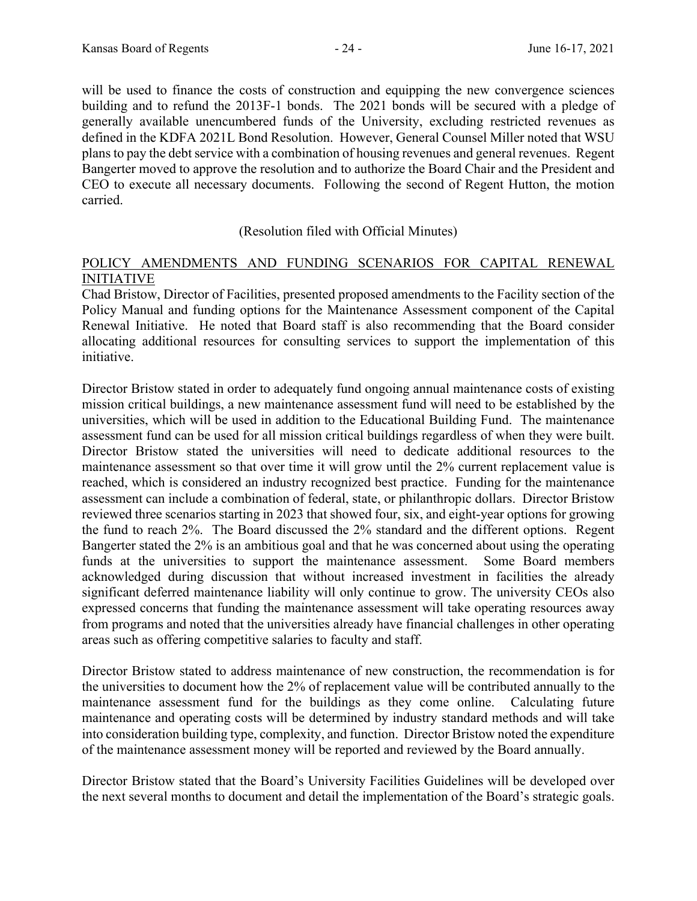will be used to finance the costs of construction and equipping the new convergence sciences building and to refund the 2013F-1 bonds. The 2021 bonds will be secured with a pledge of generally available unencumbered funds of the University, excluding restricted revenues as defined in the KDFA 2021L Bond Resolution. However, General Counsel Miller noted that WSU plans to pay the debt service with a combination of housing revenues and general revenues. Regent Bangerter moved to approve the resolution and to authorize the Board Chair and the President and CEO to execute all necessary documents. Following the second of Regent Hutton, the motion carried.

### (Resolution filed with Official Minutes)

### POLICY AMENDMENTS AND FUNDING SCENARIOS FOR CAPITAL RENEWAL INITIATIVE

Chad Bristow, Director of Facilities, presented proposed amendments to the Facility section of the Policy Manual and funding options for the Maintenance Assessment component of the Capital Renewal Initiative. He noted that Board staff is also recommending that the Board consider allocating additional resources for consulting services to support the implementation of this initiative.

Director Bristow stated in order to adequately fund ongoing annual maintenance costs of existing mission critical buildings, a new maintenance assessment fund will need to be established by the universities, which will be used in addition to the Educational Building Fund. The maintenance assessment fund can be used for all mission critical buildings regardless of when they were built. Director Bristow stated the universities will need to dedicate additional resources to the maintenance assessment so that over time it will grow until the 2% current replacement value is reached, which is considered an industry recognized best practice. Funding for the maintenance assessment can include a combination of federal, state, or philanthropic dollars. Director Bristow reviewed three scenarios starting in 2023 that showed four, six, and eight-year options for growing the fund to reach 2%. The Board discussed the 2% standard and the different options. Regent Bangerter stated the 2% is an ambitious goal and that he was concerned about using the operating funds at the universities to support the maintenance assessment. Some Board members acknowledged during discussion that without increased investment in facilities the already significant deferred maintenance liability will only continue to grow. The university CEOs also expressed concerns that funding the maintenance assessment will take operating resources away from programs and noted that the universities already have financial challenges in other operating areas such as offering competitive salaries to faculty and staff.

Director Bristow stated to address maintenance of new construction, the recommendation is for the universities to document how the 2% of replacement value will be contributed annually to the maintenance assessment fund for the buildings as they come online. Calculating future maintenance and operating costs will be determined by industry standard methods and will take into consideration building type, complexity, and function. Director Bristow noted the expenditure of the maintenance assessment money will be reported and reviewed by the Board annually.

Director Bristow stated that the Board's University Facilities Guidelines will be developed over the next several months to document and detail the implementation of the Board's strategic goals.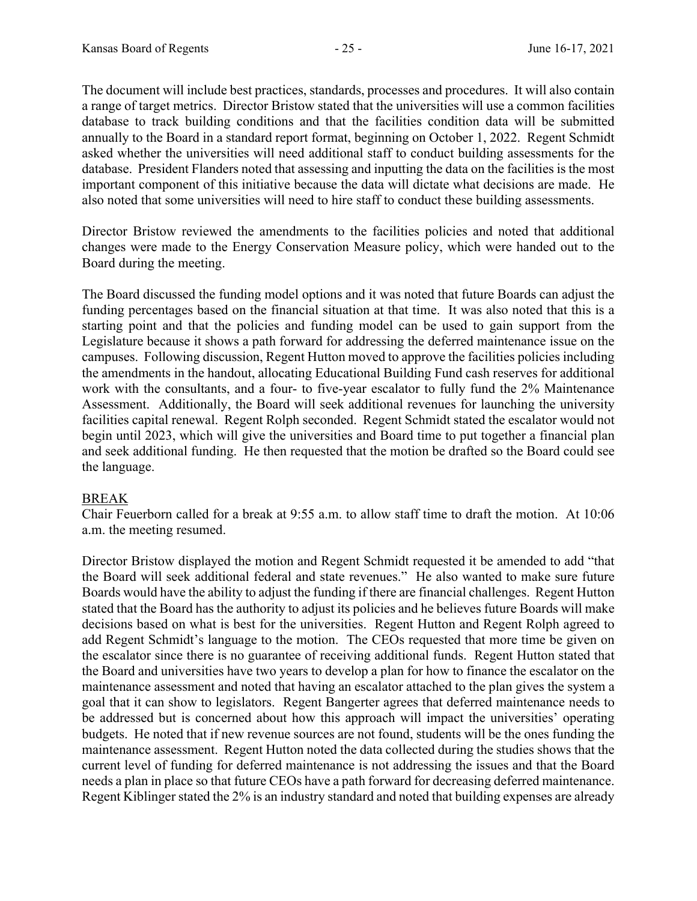The document will include best practices, standards, processes and procedures. It will also contain a range of target metrics. Director Bristow stated that the universities will use a common facilities database to track building conditions and that the facilities condition data will be submitted annually to the Board in a standard report format, beginning on October 1, 2022. Regent Schmidt asked whether the universities will need additional staff to conduct building assessments for the database. President Flanders noted that assessing and inputting the data on the facilities is the most important component of this initiative because the data will dictate what decisions are made. He also noted that some universities will need to hire staff to conduct these building assessments.

Director Bristow reviewed the amendments to the facilities policies and noted that additional changes were made to the Energy Conservation Measure policy, which were handed out to the Board during the meeting.

The Board discussed the funding model options and it was noted that future Boards can adjust the funding percentages based on the financial situation at that time. It was also noted that this is a starting point and that the policies and funding model can be used to gain support from the Legislature because it shows a path forward for addressing the deferred maintenance issue on the campuses. Following discussion, Regent Hutton moved to approve the facilities policies including the amendments in the handout, allocating Educational Building Fund cash reserves for additional work with the consultants, and a four- to five-year escalator to fully fund the 2% Maintenance Assessment. Additionally, the Board will seek additional revenues for launching the university facilities capital renewal. Regent Rolph seconded. Regent Schmidt stated the escalator would not begin until 2023, which will give the universities and Board time to put together a financial plan and seek additional funding. He then requested that the motion be drafted so the Board could see the language.

# BREAK

Chair Feuerborn called for a break at 9:55 a.m. to allow staff time to draft the motion. At 10:06 a.m. the meeting resumed.

Director Bristow displayed the motion and Regent Schmidt requested it be amended to add "that the Board will seek additional federal and state revenues." He also wanted to make sure future Boards would have the ability to adjust the funding if there are financial challenges. Regent Hutton stated that the Board has the authority to adjust its policies and he believes future Boards will make decisions based on what is best for the universities. Regent Hutton and Regent Rolph agreed to add Regent Schmidt's language to the motion. The CEOs requested that more time be given on the escalator since there is no guarantee of receiving additional funds. Regent Hutton stated that the Board and universities have two years to develop a plan for how to finance the escalator on the maintenance assessment and noted that having an escalator attached to the plan gives the system a goal that it can show to legislators. Regent Bangerter agrees that deferred maintenance needs to be addressed but is concerned about how this approach will impact the universities' operating budgets. He noted that if new revenue sources are not found, students will be the ones funding the maintenance assessment. Regent Hutton noted the data collected during the studies shows that the current level of funding for deferred maintenance is not addressing the issues and that the Board needs a plan in place so that future CEOs have a path forward for decreasing deferred maintenance. Regent Kiblinger stated the 2% is an industry standard and noted that building expenses are already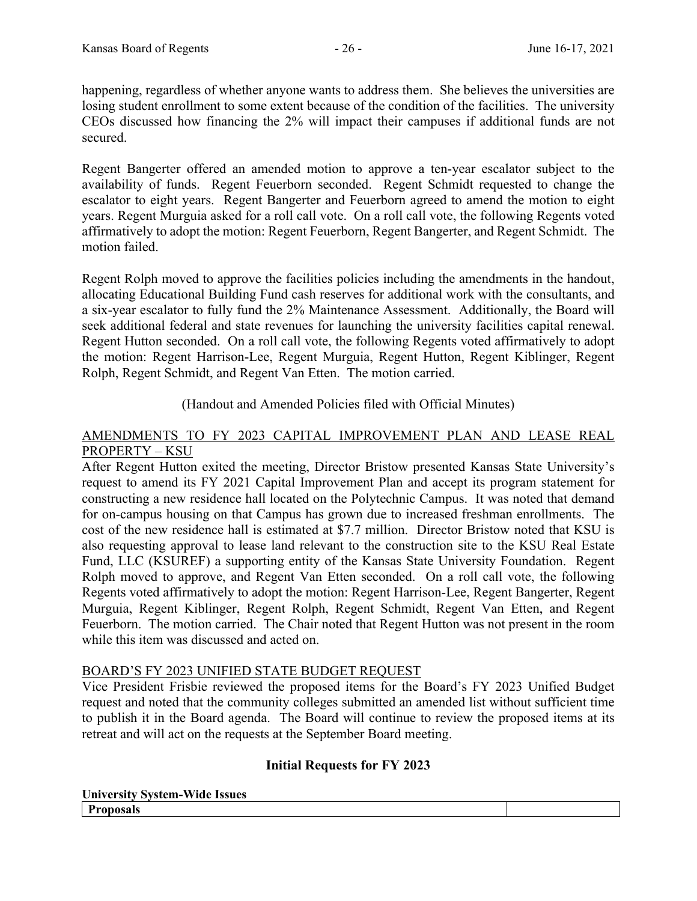happening, regardless of whether anyone wants to address them. She believes the universities are losing student enrollment to some extent because of the condition of the facilities. The university CEOs discussed how financing the 2% will impact their campuses if additional funds are not secured.

Regent Bangerter offered an amended motion to approve a ten-year escalator subject to the availability of funds. Regent Feuerborn seconded. Regent Schmidt requested to change the escalator to eight years. Regent Bangerter and Feuerborn agreed to amend the motion to eight years. Regent Murguia asked for a roll call vote. On a roll call vote, the following Regents voted affirmatively to adopt the motion: Regent Feuerborn, Regent Bangerter, and Regent Schmidt. The motion failed.

Regent Rolph moved to approve the facilities policies including the amendments in the handout, allocating Educational Building Fund cash reserves for additional work with the consultants, and a six-year escalator to fully fund the 2% Maintenance Assessment. Additionally, the Board will seek additional federal and state revenues for launching the university facilities capital renewal. Regent Hutton seconded. On a roll call vote, the following Regents voted affirmatively to adopt the motion: Regent Harrison-Lee, Regent Murguia, Regent Hutton, Regent Kiblinger, Regent Rolph, Regent Schmidt, and Regent Van Etten. The motion carried.

(Handout and Amended Policies filed with Official Minutes)

### AMENDMENTS TO FY 2023 CAPITAL IMPROVEMENT PLAN AND LEASE REAL PROPERTY – KSU

After Regent Hutton exited the meeting, Director Bristow presented Kansas State University's request to amend its FY 2021 Capital Improvement Plan and accept its program statement for constructing a new residence hall located on the Polytechnic Campus. It was noted that demand for on-campus housing on that Campus has grown due to increased freshman enrollments. The cost of the new residence hall is estimated at \$7.7 million. Director Bristow noted that KSU is also requesting approval to lease land relevant to the construction site to the KSU Real Estate Fund, LLC (KSUREF) a supporting entity of the Kansas State University Foundation. Regent Rolph moved to approve, and Regent Van Etten seconded. On a roll call vote, the following Regents voted affirmatively to adopt the motion: Regent Harrison-Lee, Regent Bangerter, Regent Murguia, Regent Kiblinger, Regent Rolph, Regent Schmidt, Regent Van Etten, and Regent Feuerborn. The motion carried. The Chair noted that Regent Hutton was not present in the room while this item was discussed and acted on.

### BOARD'S FY 2023 UNIFIED STATE BUDGET REQUEST

Vice President Frisbie reviewed the proposed items for the Board's FY 2023 Unified Budget request and noted that the community colleges submitted an amended list without sufficient time to publish it in the Board agenda. The Board will continue to review the proposed items at its retreat and will act on the requests at the September Board meeting.

# **Initial Requests for FY 2023**

**University System-Wide Issues Proposals**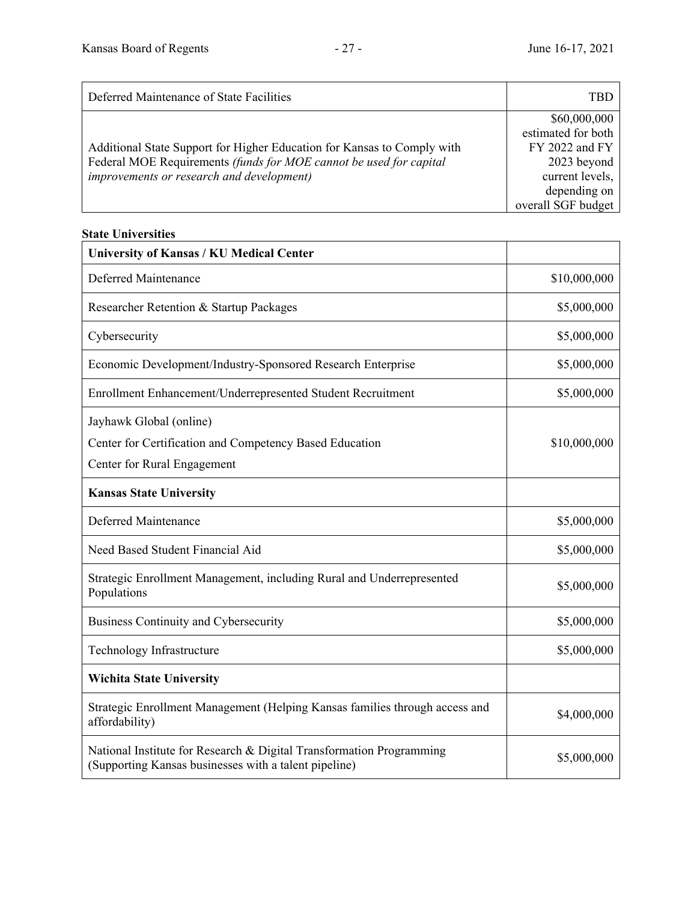| Deferred Maintenance of State Facilities                                | TBD                |
|-------------------------------------------------------------------------|--------------------|
|                                                                         | \$60,000,000       |
|                                                                         | estimated for both |
| Additional State Support for Higher Education for Kansas to Comply with | $FY$ 2022 and $FY$ |
| Federal MOE Requirements (funds for MOE cannot be used for capital      | 2023 beyond        |
| <i>improvements or research and development)</i>                        | current levels,    |
|                                                                         | depending on       |
|                                                                         | overall SGF budget |

# **State Universities**

| <b>University of Kansas / KU Medical Center</b>                                                                               |              |
|-------------------------------------------------------------------------------------------------------------------------------|--------------|
| Deferred Maintenance                                                                                                          | \$10,000,000 |
| Researcher Retention & Startup Packages                                                                                       | \$5,000,000  |
| Cybersecurity                                                                                                                 | \$5,000,000  |
| Economic Development/Industry-Sponsored Research Enterprise                                                                   | \$5,000,000  |
| Enrollment Enhancement/Underrepresented Student Recruitment                                                                   | \$5,000,000  |
| Jayhawk Global (online)<br>Center for Certification and Competency Based Education<br>Center for Rural Engagement             | \$10,000,000 |
| <b>Kansas State University</b>                                                                                                |              |
| Deferred Maintenance                                                                                                          | \$5,000,000  |
| Need Based Student Financial Aid                                                                                              | \$5,000,000  |
| Strategic Enrollment Management, including Rural and Underrepresented<br>Populations                                          | \$5,000,000  |
| Business Continuity and Cybersecurity                                                                                         | \$5,000,000  |
| Technology Infrastructure                                                                                                     | \$5,000,000  |
| <b>Wichita State University</b>                                                                                               |              |
| Strategic Enrollment Management (Helping Kansas families through access and<br>affordability)                                 | \$4,000,000  |
| National Institute for Research & Digital Transformation Programming<br>(Supporting Kansas businesses with a talent pipeline) | \$5,000,000  |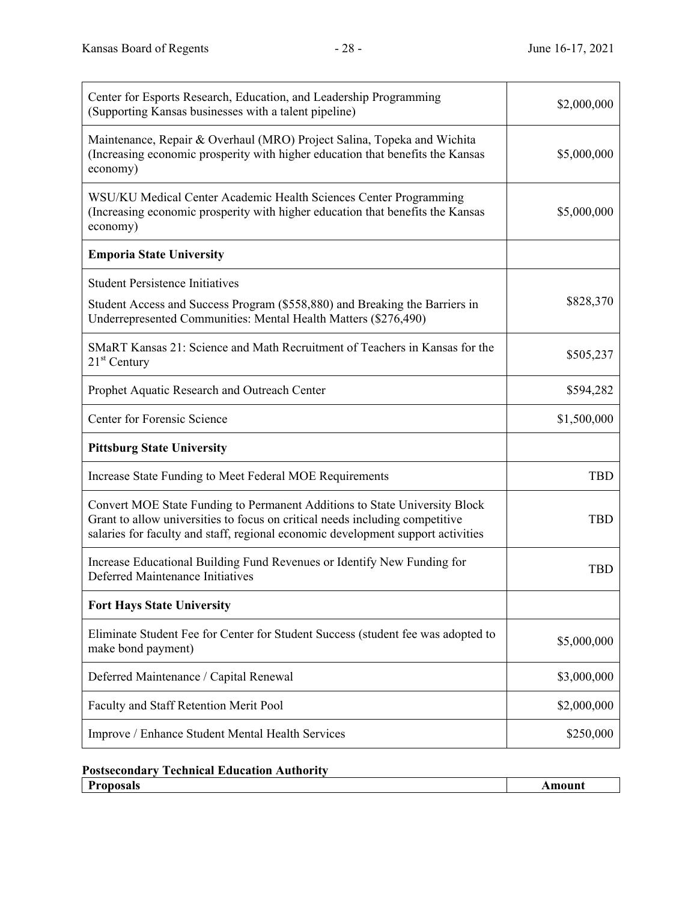| Center for Esports Research, Education, and Leadership Programming<br>(Supporting Kansas businesses with a talent pipeline)                                                                                                                    | \$2,000,000 |
|------------------------------------------------------------------------------------------------------------------------------------------------------------------------------------------------------------------------------------------------|-------------|
| Maintenance, Repair & Overhaul (MRO) Project Salina, Topeka and Wichita<br>(Increasing economic prosperity with higher education that benefits the Kansas<br>economy)                                                                          | \$5,000,000 |
| WSU/KU Medical Center Academic Health Sciences Center Programming<br>(Increasing economic prosperity with higher education that benefits the Kansas<br>economy)                                                                                | \$5,000,000 |
| <b>Emporia State University</b>                                                                                                                                                                                                                |             |
| <b>Student Persistence Initiatives</b>                                                                                                                                                                                                         |             |
| Student Access and Success Program (\$558,880) and Breaking the Barriers in<br>Underrepresented Communities: Mental Health Matters (\$276,490)                                                                                                 | \$828,370   |
| SMaRT Kansas 21: Science and Math Recruitment of Teachers in Kansas for the<br>$21st$ Century                                                                                                                                                  | \$505,237   |
| Prophet Aquatic Research and Outreach Center                                                                                                                                                                                                   | \$594,282   |
| Center for Forensic Science                                                                                                                                                                                                                    | \$1,500,000 |
| <b>Pittsburg State University</b>                                                                                                                                                                                                              |             |
| Increase State Funding to Meet Federal MOE Requirements                                                                                                                                                                                        | <b>TBD</b>  |
| Convert MOE State Funding to Permanent Additions to State University Block<br>Grant to allow universities to focus on critical needs including competitive<br>salaries for faculty and staff, regional economic development support activities | <b>TBD</b>  |
| Increase Educational Building Fund Revenues or Identify New Funding for<br>Deferred Maintenance Initiatives                                                                                                                                    | <b>TBD</b>  |
| <b>Fort Hays State University</b>                                                                                                                                                                                                              |             |
| Eliminate Student Fee for Center for Student Success (student fee was adopted to<br>make bond payment)                                                                                                                                         | \$5,000,000 |
| Deferred Maintenance / Capital Renewal                                                                                                                                                                                                         | \$3,000,000 |
| Faculty and Staff Retention Merit Pool                                                                                                                                                                                                         | \$2,000,000 |
| Improve / Enhance Student Mental Health Services                                                                                                                                                                                               | \$250,000   |

**Postsecondary Technical Education Authority Proposals** Amount **Amount**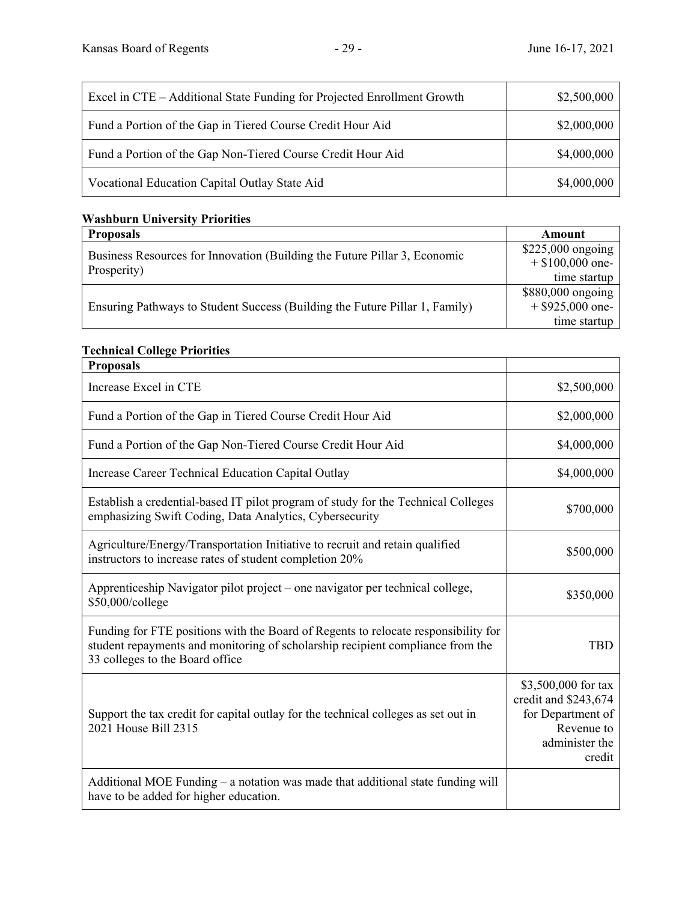| Excel in CTE – Additional State Funding for Projected Enrollment Growth | \$2,500,000 |
|-------------------------------------------------------------------------|-------------|
| Fund a Portion of the Gap in Tiered Course Credit Hour Aid              | \$2,000,000 |
| Fund a Portion of the Gap Non-Tiered Course Credit Hour Aid             | \$4,000,000 |
| Vocational Education Capital Outlay State Aid                           | \$4,000,000 |

# **Washburn University Priorities**

| <b>Proposals</b>                                                            | Amount             |
|-----------------------------------------------------------------------------|--------------------|
| Business Resources for Innovation (Building the Future Pillar 3, Economic   | $$225,000$ ongoing |
| Prosperity)                                                                 | $+$ \$100,000 one- |
|                                                                             | time startup       |
|                                                                             | \$880,000 ongoing  |
| Ensuring Pathways to Student Success (Building the Future Pillar 1, Family) | $+$ \$925,000 one- |
|                                                                             | time startup       |

# **Technical College Priorities**

| <b>Proposals</b>                                                                                                                                                                                        |                                                                                                            |
|---------------------------------------------------------------------------------------------------------------------------------------------------------------------------------------------------------|------------------------------------------------------------------------------------------------------------|
| Increase Excel in CTE                                                                                                                                                                                   | \$2,500,000                                                                                                |
| Fund a Portion of the Gap in Tiered Course Credit Hour Aid                                                                                                                                              | \$2,000,000                                                                                                |
| Fund a Portion of the Gap Non-Tiered Course Credit Hour Aid                                                                                                                                             | \$4,000,000                                                                                                |
| Increase Career Technical Education Capital Outlay                                                                                                                                                      | \$4,000,000                                                                                                |
| Establish a credential-based IT pilot program of study for the Technical Colleges<br>emphasizing Swift Coding, Data Analytics, Cybersecurity                                                            | \$700,000                                                                                                  |
| Agriculture/Energy/Transportation Initiative to recruit and retain qualified<br>instructors to increase rates of student completion 20%                                                                 | \$500,000                                                                                                  |
| Apprenticeship Navigator pilot project – one navigator per technical college,<br>\$50,000/college                                                                                                       | \$350,000                                                                                                  |
| Funding for FTE positions with the Board of Regents to relocate responsibility for<br>student repayments and monitoring of scholarship recipient compliance from the<br>33 colleges to the Board office | <b>TBD</b>                                                                                                 |
| Support the tax credit for capital outlay for the technical colleges as set out in<br>2021 House Bill 2315                                                                                              | \$3,500,000 for tax<br>credit and \$243,674<br>for Department of<br>Revenue to<br>administer the<br>credit |
| Additional MOE Funding – a notation was made that additional state funding will<br>have to be added for higher education.                                                                               |                                                                                                            |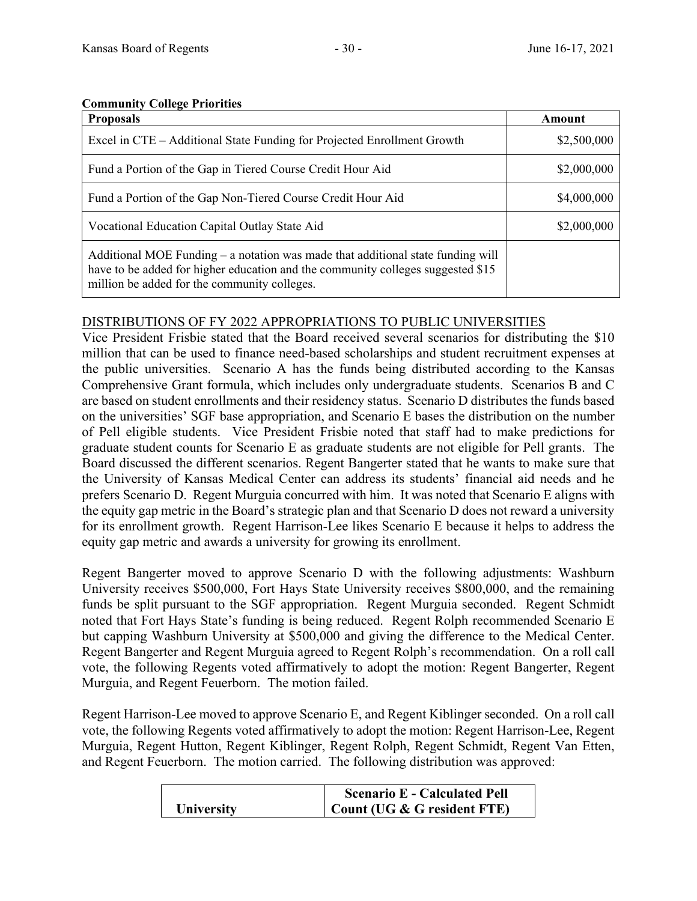### **Community College Priorities**

| <b>Proposals</b>                                                                                                                                                                                                     | Amount      |
|----------------------------------------------------------------------------------------------------------------------------------------------------------------------------------------------------------------------|-------------|
| Excel in CTE – Additional State Funding for Projected Enrollment Growth                                                                                                                                              | \$2,500,000 |
| Fund a Portion of the Gap in Tiered Course Credit Hour Aid                                                                                                                                                           | \$2,000,000 |
| Fund a Portion of the Gap Non-Tiered Course Credit Hour Aid                                                                                                                                                          | \$4,000,000 |
| Vocational Education Capital Outlay State Aid                                                                                                                                                                        | \$2,000,000 |
| Additional MOE Funding $-$ a notation was made that additional state funding will<br>have to be added for higher education and the community colleges suggested \$15<br>million be added for the community colleges. |             |

# DISTRIBUTIONS OF FY 2022 APPROPRIATIONS TO PUBLIC UNIVERSITIES

Vice President Frisbie stated that the Board received several scenarios for distributing the \$10 million that can be used to finance need-based scholarships and student recruitment expenses at the public universities. Scenario A has the funds being distributed according to the Kansas Comprehensive Grant formula, which includes only undergraduate students. Scenarios B and C are based on student enrollments and their residency status. Scenario D distributes the funds based on the universities' SGF base appropriation, and Scenario E bases the distribution on the number of Pell eligible students. Vice President Frisbie noted that staff had to make predictions for graduate student counts for Scenario E as graduate students are not eligible for Pell grants. The Board discussed the different scenarios. Regent Bangerter stated that he wants to make sure that the University of Kansas Medical Center can address its students' financial aid needs and he prefers Scenario D. Regent Murguia concurred with him. It was noted that Scenario E aligns with the equity gap metric in the Board's strategic plan and that Scenario D does not reward a university for its enrollment growth. Regent Harrison-Lee likes Scenario E because it helps to address the equity gap metric and awards a university for growing its enrollment.

Regent Bangerter moved to approve Scenario D with the following adjustments: Washburn University receives \$500,000, Fort Hays State University receives \$800,000, and the remaining funds be split pursuant to the SGF appropriation. Regent Murguia seconded. Regent Schmidt noted that Fort Hays State's funding is being reduced. Regent Rolph recommended Scenario E but capping Washburn University at \$500,000 and giving the difference to the Medical Center. Regent Bangerter and Regent Murguia agreed to Regent Rolph's recommendation. On a roll call vote, the following Regents voted affirmatively to adopt the motion: Regent Bangerter, Regent Murguia, and Regent Feuerborn. The motion failed.

Regent Harrison-Lee moved to approve Scenario E, and Regent Kiblinger seconded. On a roll call vote, the following Regents voted affirmatively to adopt the motion: Regent Harrison-Lee, Regent Murguia, Regent Hutton, Regent Kiblinger, Regent Rolph, Regent Schmidt, Regent Van Etten, and Regent Feuerborn. The motion carried. The following distribution was approved:

|                   | <b>Scenario E - Calculated Pell</b> |
|-------------------|-------------------------------------|
| <b>University</b> | Count (UG & G resident FTE)         |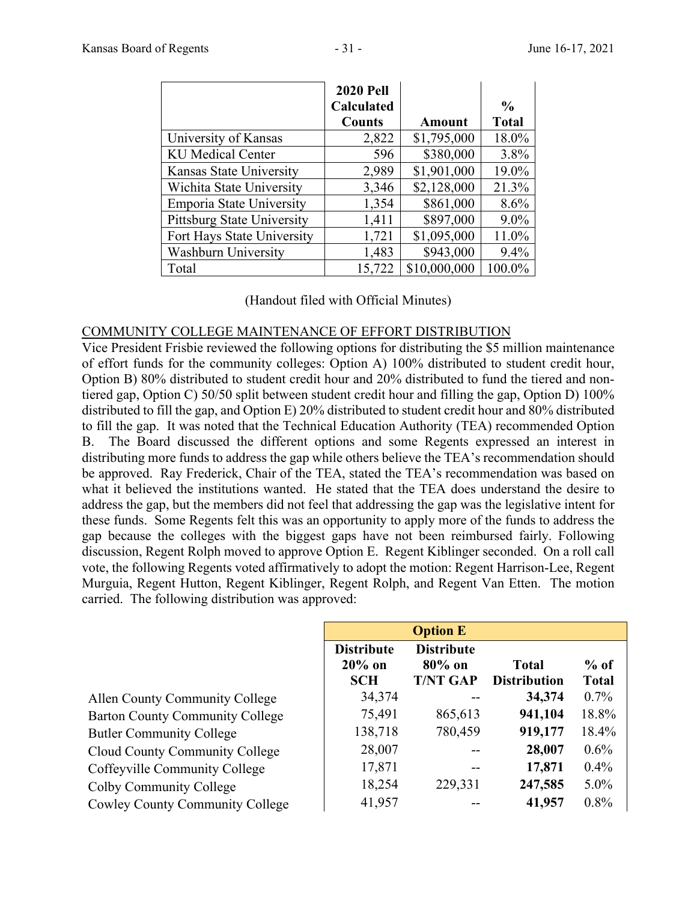|                                   | <b>2020 Pell</b><br><b>Calculated</b><br><b>Counts</b> | Amount       | $\frac{6}{6}$<br><b>Total</b> |
|-----------------------------------|--------------------------------------------------------|--------------|-------------------------------|
| University of Kansas              | 2,822                                                  | \$1,795,000  | 18.0%                         |
| <b>KU</b> Medical Center          | 596                                                    | \$380,000    | 3.8%                          |
| Kansas State University           | 2,989                                                  | \$1,901,000  | 19.0%                         |
| Wichita State University          | 3,346                                                  | \$2,128,000  | 21.3%                         |
| <b>Emporia State University</b>   | 1,354                                                  | \$861,000    | 8.6%                          |
| <b>Pittsburg State University</b> | 1,411                                                  | \$897,000    | $9.0\%$                       |
| Fort Hays State University        | 1,721                                                  | \$1,095,000  | 11.0%                         |
| <b>Washburn University</b>        | 1,483                                                  | \$943,000    | 9.4%                          |
| Total                             | 15,722                                                 | \$10,000,000 | 100.0%                        |

(Handout filed with Official Minutes)

### COMMUNITY COLLEGE MAINTENANCE OF EFFORT DISTRIBUTION

Vice President Frisbie reviewed the following options for distributing the \$5 million maintenance of effort funds for the community colleges: Option A) 100% distributed to student credit hour, Option B) 80% distributed to student credit hour and 20% distributed to fund the tiered and nontiered gap, Option C) 50/50 split between student credit hour and filling the gap, Option D) 100% distributed to fill the gap, and Option E) 20% distributed to student credit hour and 80% distributed to fill the gap. It was noted that the Technical Education Authority (TEA) recommended Option B. The Board discussed the different options and some Regents expressed an interest in distributing more funds to address the gap while others believe the TEA's recommendation should be approved. Ray Frederick, Chair of the TEA, stated the TEA's recommendation was based on what it believed the institutions wanted. He stated that the TEA does understand the desire to address the gap, but the members did not feel that addressing the gap was the legislative intent for these funds. Some Regents felt this was an opportunity to apply more of the funds to address the gap because the colleges with the biggest gaps have not been reimbursed fairly. Following discussion, Regent Rolph moved to approve Option E. Regent Kiblinger seconded. On a roll call vote, the following Regents voted affirmatively to adopt the motion: Regent Harrison-Lee, Regent Murguia, Regent Hutton, Regent Kiblinger, Regent Rolph, and Regent Van Etten. The motion carried. The following distribution was approved:

|                                        | <b>Option E</b>                              |                                                   |                                     |                        |
|----------------------------------------|----------------------------------------------|---------------------------------------------------|-------------------------------------|------------------------|
|                                        | <b>Distribute</b><br>$20\%$ on<br><b>SCH</b> | <b>Distribute</b><br>$80\%$ on<br><b>T/NT GAP</b> | <b>Total</b><br><b>Distribution</b> | $%$ of<br><b>Total</b> |
| Allen County Community College         | 34,374                                       |                                                   | 34,374                              | $0.7\%$                |
| <b>Barton County Community College</b> | 75,491                                       | 865,613                                           | 941,104                             | 18.8%                  |
| <b>Butler Community College</b>        | 138,718                                      | 780,459                                           | 919,177                             | 18.4%                  |
| <b>Cloud County Community College</b>  | 28,007                                       |                                                   | 28,007                              | $0.6\%$                |
| Coffeyville Community College          | 17,871                                       |                                                   | 17,871                              | 0.4%                   |
| Colby Community College                | 18,254                                       | 229,331                                           | 247,585                             | $5.0\%$                |
| <b>Cowley County Community College</b> | 41,957                                       |                                                   | 41,957                              | $0.8\%$                |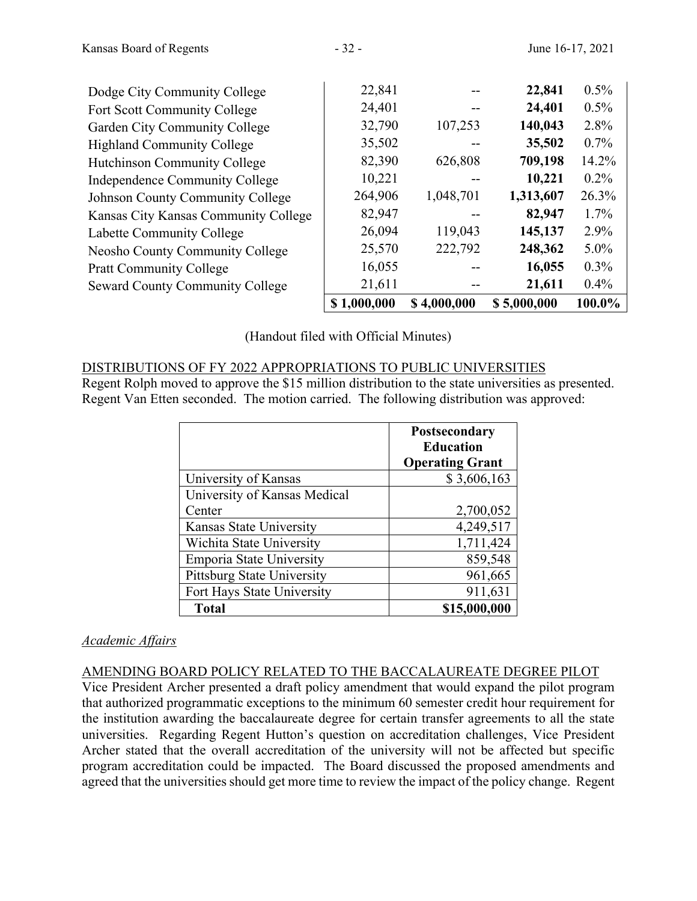| Dodge City Community College           | 22,841      |             | 22,841      | $0.5\%$ |
|----------------------------------------|-------------|-------------|-------------|---------|
| Fort Scott Community College           | 24,401      |             | 24,401      | $0.5\%$ |
| Garden City Community College          | 32,790      | 107,253     | 140,043     | 2.8%    |
| <b>Highland Community College</b>      | 35,502      |             | 35,502      | $0.7\%$ |
| <b>Hutchinson Community College</b>    | 82,390      | 626,808     | 709,198     | 14.2%   |
| Independence Community College         | 10,221      |             | 10,221      | $0.2\%$ |
| Johnson County Community College       | 264,906     | 1,048,701   | 1,313,607   | 26.3%   |
| Kansas City Kansas Community College   | 82,947      |             | 82,947      | $1.7\%$ |
| Labette Community College              | 26,094      | 119,043     | 145,137     | 2.9%    |
| <b>Neosho County Community College</b> | 25,570      | 222,792     | 248,362     | 5.0%    |
| <b>Pratt Community College</b>         | 16,055      |             | 16,055      | $0.3\%$ |
| <b>Seward County Community College</b> | 21,611      |             | 21,611      | 0.4%    |
|                                        | \$1,000,000 | \$4,000,000 | \$5,000,000 | 100.0%  |

(Handout filed with Official Minutes)

# DISTRIBUTIONS OF FY 2022 APPROPRIATIONS TO PUBLIC UNIVERSITIES

Regent Rolph moved to approve the \$15 million distribution to the state universities as presented. Regent Van Etten seconded. The motion carried. The following distribution was approved:

|                                   | <b>Postsecondary</b><br><b>Education</b> |
|-----------------------------------|------------------------------------------|
|                                   | <b>Operating Grant</b>                   |
| University of Kansas              | \$3,606,163                              |
| University of Kansas Medical      |                                          |
| Center                            | 2,700,052                                |
| Kansas State University           | 4,249,517                                |
| Wichita State University          | 1,711,424                                |
| <b>Emporia State University</b>   | 859,548                                  |
| <b>Pittsburg State University</b> | 961,665                                  |
| Fort Hays State University        | 911,631                                  |
| <b>Total</b>                      | \$15,000,000                             |

# *Academic Affairs*

### AMENDING BOARD POLICY RELATED TO THE BACCALAUREATE DEGREE PILOT

Vice President Archer presented a draft policy amendment that would expand the pilot program that authorized programmatic exceptions to the minimum 60 semester credit hour requirement for the institution awarding the baccalaureate degree for certain transfer agreements to all the state universities. Regarding Regent Hutton's question on accreditation challenges, Vice President Archer stated that the overall accreditation of the university will not be affected but specific program accreditation could be impacted. The Board discussed the proposed amendments and agreed that the universities should get more time to review the impact of the policy change. Regent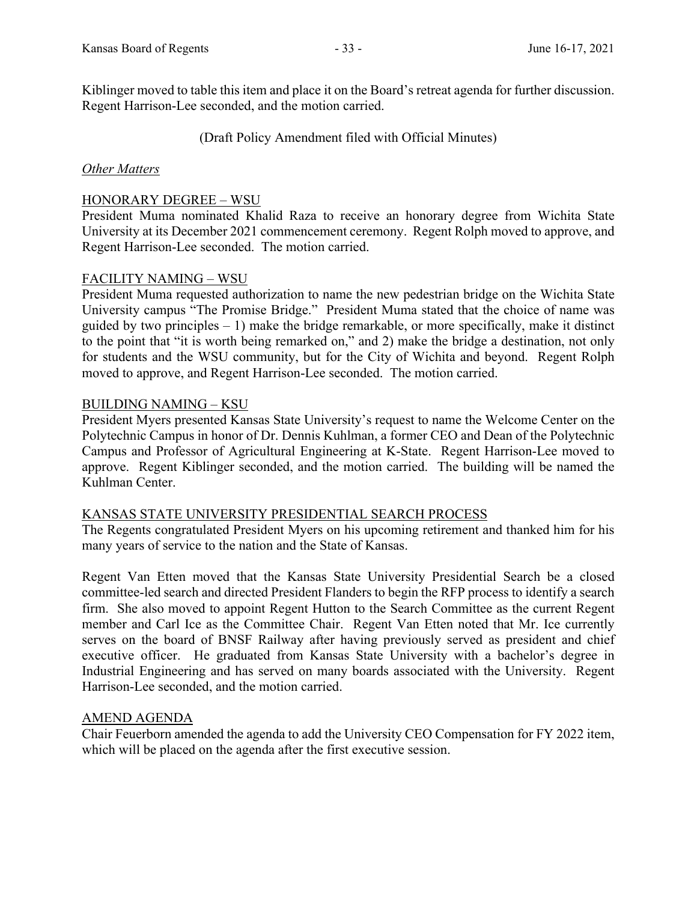Kiblinger moved to table this item and place it on the Board's retreat agenda for further discussion. Regent Harrison-Lee seconded, and the motion carried.

(Draft Policy Amendment filed with Official Minutes)

### *Other Matters*

### HONORARY DEGREE – WSU

President Muma nominated Khalid Raza to receive an honorary degree from Wichita State University at its December 2021 commencement ceremony. Regent Rolph moved to approve, and Regent Harrison-Lee seconded. The motion carried.

### FACILITY NAMING – WSU

President Muma requested authorization to name the new pedestrian bridge on the Wichita State University campus "The Promise Bridge." President Muma stated that the choice of name was guided by two principles  $-1$ ) make the bridge remarkable, or more specifically, make it distinct to the point that "it is worth being remarked on," and 2) make the bridge a destination, not only for students and the WSU community, but for the City of Wichita and beyond. Regent Rolph moved to approve, and Regent Harrison-Lee seconded. The motion carried.

### BUILDING NAMING – KSU

President Myers presented Kansas State University's request to name the Welcome Center on the Polytechnic Campus in honor of Dr. Dennis Kuhlman, a former CEO and Dean of the Polytechnic Campus and Professor of Agricultural Engineering at K-State. Regent Harrison-Lee moved to approve. Regent Kiblinger seconded, and the motion carried. The building will be named the Kuhlman Center.

### KANSAS STATE UNIVERSITY PRESIDENTIAL SEARCH PROCESS

The Regents congratulated President Myers on his upcoming retirement and thanked him for his many years of service to the nation and the State of Kansas.

Regent Van Etten moved that the Kansas State University Presidential Search be a closed committee-led search and directed President Flanders to begin the RFP process to identify a search firm. She also moved to appoint Regent Hutton to the Search Committee as the current Regent member and Carl Ice as the Committee Chair. Regent Van Etten noted that Mr. Ice currently serves on the board of BNSF Railway after having previously served as president and chief executive officer. He graduated from Kansas State University with a bachelor's degree in Industrial Engineering and has served on many boards associated with the University. Regent Harrison-Lee seconded, and the motion carried.

### AMEND AGENDA

Chair Feuerborn amended the agenda to add the University CEO Compensation for FY 2022 item, which will be placed on the agenda after the first executive session.